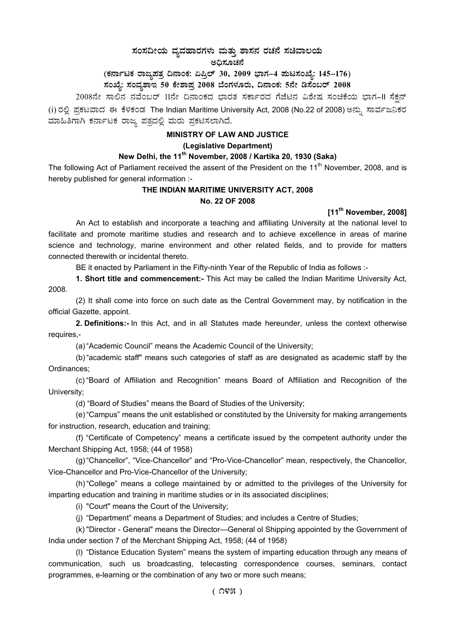# $\,$ ಸಂಸದೀಯ ವ್ಯವಹಾರಗಳು ಮತ್ತು ಶಾಸನ ರಚನೆ ಸಚಿವಾಲಯ

ಅಧಿಸೂಚನೆ

# (ಕರ್ನಾಟಕ ರಾಜ್ಯಪತ್ರ ದಿನಾಂಕ: ಏಪ್ರಿಲ್ 30, 2009 ಭಾಗ–4 **ಪುಟಸಂಖ್ಯೆ: 145–176**)

ಸಂಖ್ಯೆ: ಸಂವ್ಯಶಾಇ 50 ಕೇಶಾಪ್ರ 2008 ಬೆಂಗಳೂರು, ದಿನಾಂಕ: 5ನೇ ಡಿಸೆಂಬರ್ 2008 <sub>-</sub>

2008ನೇ ಸಾಲಿನ ನವೆಂಬರ್ 11ನೇ ದಿನಾಂಕದ ಭಾರತ ಸರ್ಕಾರದ ಗೆಜೆಟಿನ ವಿಶೇಷ ಸಂಚಿಕೆಯ ಭಾಗ-II ಸೆಕ್ಷನ್ (i) ರಲ್ಲಿ ಪ್ರಕಟವಾದ ಈ ಕೆಳಕಂಡ The Indian Maritime University Act, 2008 (No.22 of 2008) ಅನ್ನು ಸಾರ್ವಜನಿಕರ ಮಾಹಿತಿಗಾಗಿ ಕರ್ನಾಟಕ ರಾಜ್ಯ ಪತ್ರದಲ್ಲಿ ಮರು ಪ್ರಕಟಿಸಲಾಗಿದೆ.

## **MINISTRY OF LAW AND JUSTICE**

## **(Legislative Department)**

# **New Delhi, the 11th November, 2008 / Kartika 20, 1930 (Saka)**

The following Act of Parliament received the assent of the President on the  $11<sup>th</sup>$  November, 2008, and is hereby published for general information :-

## **THE INDIAN MARITIME UNIVERSITY ACT, 2008**

## **No. 22 OF 2008**

# **[11th November, 2008]**

An Act to establish and incorporate a teaching and affiliating University at the national level to facilitate and promote maritime studies and research and to achieve excellence in areas of marine science and technology, marine environment and other related fields, and to provide for matters connected therewith or incidental thereto.

BE it enacted by Parliament in the Fifty-ninth Year of the Republic of India as follows :-

**1. Short title and commencement:-** This Act may be called the Indian Maritime University Act, 2008.

(2) It shall come into force on such date as the Central Government may, by notification in the official Gazette, appoint.

 **2. Definitions:-** In this Act, and in all Statutes made hereunder, unless the context otherwise requires,-

(a) "Academic Council" means the Academic Council of the University;

(b) "academic staff" means such categories of staff as are designated as academic staff by the Ordinances;

(c) "Board of Affiliation and Recognition" means Board of Affiliation and Recognition of the University;

(d) "Board of Studies" means the Board of Studies of the University;

(e) "Campus" means the unit established or constituted by the University for making arrangements for instruction, research, education and training;

(f) "Certificate of Competency" means a certificate issued by the competent authority under the Merchant Shipping Act, 1958; (44 of 1958)

(g) "Chancellor", "Vice-Chancellor" and "Pro-Vice-Chancellor" mean, respectively, the Chancellor, Vice-Chancellor and Pro-Vice-Chancellor of the University;

(h) "College" means a college maintained by or admitted to the privileges of the University for imparting education and training in maritime studies or in its associated disciplines;

(i) "Court" means the Court of the University;

(j) "Department" means a Department of Studies; and includes a Centre of Studies;

(k) "Director - General" means the Director—General ol Shipping appointed by the Government of India under section 7 of the Merchant Shipping Act, 1958; (44 of 1958)

(l) "Distance Education System" means the system of imparting education through any means of communication, such us broadcasting, telecasting correspondence courses, seminars, contact programmes, e-learning or the combination of any two or more such means;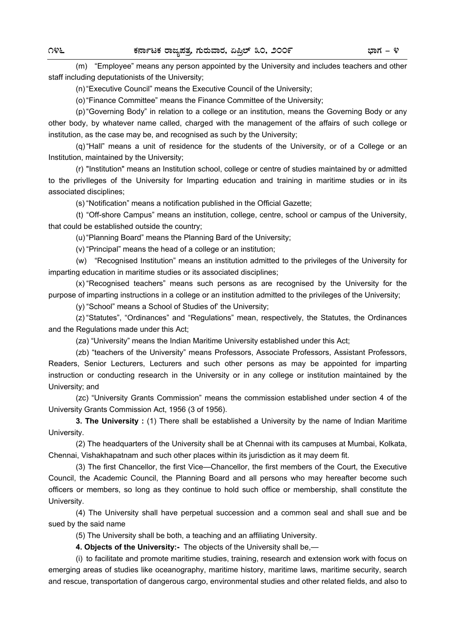(m) "Employee" means any person appointed by the University and includes teachers and other staff including deputationists of the University;

(n) "Executive Council" means the Executive Council of the University;

(o) "Finance Committee" means the Finance Committee of the University;

 (p) "Governing Body" in relation to a college or an institution, means the Governing Body or any other body, by whatever name called, charged with the management of the affairs of such college or institution, as the case may be, and recognised as such by the University;

 (q) "Hall" means a unit of residence for the students of the University, or of a College or an Institution, maintained by the University;

 (r) "Institution" means an Institution school, college or centre of studies maintained by or admitted to the privIleges of the University for Imparting education and training in maritime studies or in its associated disciplines;

(s) "Notification" means a notification published in the Official Gazette;

 (t) "Off-shore Campus" means an institution, college, centre, school or campus of the University, that could be established outside the country;

(u) "Planning Board" means the Planning Bard of the University;

(v) "Principal" means the head of a college or an institution;

 (w) "Recognised Institution" means an institution admitted to the privileges of the University for imparting education in maritime studies or its associated disciplines;

 (x) "Recognised teachers" means such persons as are recognised by the University for the purpose of imparting instructions in a college or an institution admitted to the privileges of the University;

(y) "School" means a School of Studies of' the University;

 (z) "Statutes", "Ordinances" and "Regulations" mean, respectively, the Statutes, the Ordinances and the Regulations made under this Act;

(za) "University" means the Indian Maritime University established under this Act;

 (zb) "teachers of the University" means Professors, Associate Professors, Assistant Professors, Readers, Senior Lecturers, Lecturers and such other persons as may be appointed for imparting instruction or conducting research in the University or in any college or institution maintained by the University; and

 (zc) "University Grants Commission" means the commission established under section 4 of the University Grants Commission Act, 1956 (3 of 1956).

 **3. The University :** (1) There shall be established a University by the name of Indian Maritime University.

 (2) The headquarters of the University shall be at Chennai with its campuses at Mumbai, Kolkata, Chennai, Vishakhapatnam and such other places within its jurisdiction as it may deem fit.

 (3) The first Chancellor, the first Vice—Chancellor, the first members of the Court, the Executive Council, the Academic Council, the Planning Board and all persons who may hereafter become such officers or members, so long as they continue to hold such office or membership, shall constitute the University.

 (4) The University shall have perpetual succession and a common seal and shall sue and be sued by the said name

(5) The University shall be both, a teaching and an affiliating University.

 **4. Objects of the University:-** The objects of the University shall be,—

 (i) to facilitate and promote maritime studies, training, research and extension work with focus on emerging areas of studies like oceanography, maritime history, maritime laws, maritime security, search and rescue, transportation of dangerous cargo, environmental studies and other related fields, and also to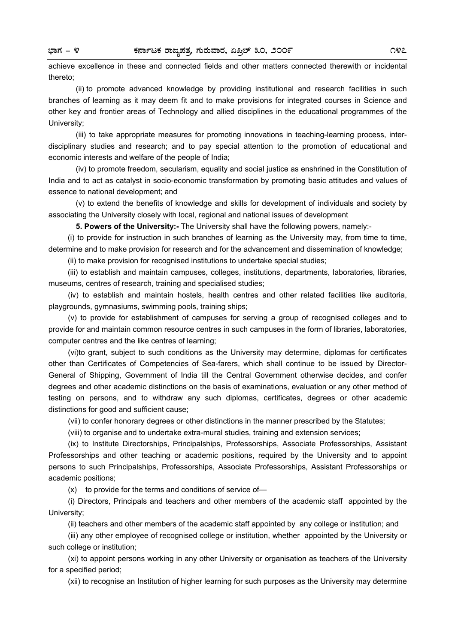achieve excellence in these and connected fields and other matters connected therewith or incidental thereto;

 (ii) to promote advanced knowledge by providing institutional and research facilities in such branches of learning as it may deem fit and to make provisions for integrated courses in Science and other key and frontier areas of Technology and allied disciplines in the educational programmes of the University;

 (iii) to take appropriate measures for promoting innovations in teaching-learning process, interdisciplinary studies and research; and to pay special attention to the promotion of educational and economic interests and welfare of the people of India;

 (iv) to promote freedom, secularism, equality and social justice as enshrined in the Constitution of India and to act as catalyst in socio-economic transformation by promoting basic attitudes and values of essence to national development; and

 (v) to extend the benefits of knowledge and skills for development of individuals and society by associating the University closely with local, regional and national issues of development

**5. Powers of the University:-** The University shall have the following powers, namely:-

(i) to provide for instruction in such branches of learning as the University may, from time to time, determine and to make provision for research and for the advancement and dissemination of knowledge;

(ii) to make provision for recognised institutions to undertake special studies;

(iii) to establish and maintain campuses, colleges, institutions, departments, laboratories, libraries, museums, centres of research, training and specialised studies;

 (iv) to establish and maintain hostels, health centres and other related facilities like auditoria, playgrounds, gymnasiums, swimming pools, training ships;

 (v) to provide for establishment of campuses for serving a group of recognised colleges and to provide for and maintain common resource centres in such campuses in the form of libraries, laboratories, computer centres and the like centres of learning;

 (vi)to grant, subject to such conditions as the University may determine, diplomas for certificates other than Certificates of Competencies of Sea-farers, which shall continue to be issued by Director-General of Shipping, Government of India till the Central Government otherwise decides, and confer degrees and other academic distinctions on the basis of examinations, evaluation or any other method of testing on persons, and to withdraw any such diplomas, certificates, degrees or other academic distinctions for good and sufficient cause;

(vii) to confer honorary degrees or other distinctions in the manner prescribed by the Statutes;

(viii) to organise and to undertake extra-mural studies, training and extension services;

 (ix) to Institute Directorships, Principalships, Professorships, Associate Professorships, Assistant Professorships and other teaching or academic positions, required by the University and to appoint persons to such Principalships, Professorships, Associate Professorships, Assistant Professorships or academic positions;

(x) to provide for the terms and conditions of service of—

 (i) Directors, Principals and teachers and other members of the academic staff appointed by the University;

(ii) teachers and other members of the academic staff appointed by any college or institution; and

 (iii) any other employee of recognised college or institution, whether appointed by the University or such college or institution;

 (xi) to appoint persons working in any other University or organisation as teachers of the University for a specified period;

(xii) to recognise an Institution of higher learning for such purposes as the University may determine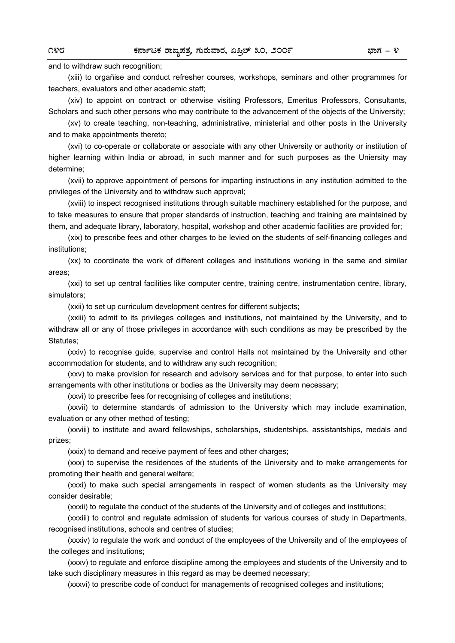and to withdraw such recognition;

 (xiii) to orgañise and conduct refresher courses, workshops, seminars and other programmes for teachers, evaluators and other academic staff;

 (xiv) to appoint on contract or otherwise visiting Professors, Emeritus Professors, Consultants, Scholars and such other persons who may contribute to the advancement of the objects of the University;

 (xv) to create teaching, non-teaching, administrative, ministerial and other posts in the University and to make appointments thereto;

(xvi) to co-operate or collaborate or associate with any other University or authority or institution of higher learning within India or abroad, in such manner and for such purposes as the Uniersity may determine;

(xvii) to approve appointment of persons for imparting instructions in any institution admitted to the privileges of the University and to withdraw such approval;

(xviii) to inspect recognised institutions through suitable machinery established for the purpose, and to take measures to ensure that proper standards of instruction, teaching and training are maintained by them, and adequate library, laboratory, hospital, workshop and other academic facilities are provided for;

(xix) to prescribe fees and other charges to be levied on the students of self-financing colleges and institutions;

(xx) to coordinate the work of different colleges and institutions working in the same and similar areas;

(xxi) to set up central facilities like computer centre, training centre, instrumentation centre, library, simulators;

(xxii) to set up curriculum development centres for different subjects;

(xxiii) to admit to its privileges colleges and institutions, not maintained by the University, and to withdraw all or any of those privileges in accordance with such conditions as may be prescribed by the Statutes;

(xxiv) to recognise guide, supervise and control Halls not maintained by the University and other accommodation for students, and to withdraw any such recognition;

(xxv) to make provision for research and advisory services and for that purpose, to enter into such arrangements with other institutions or bodies as the University may deem necessary;

(xxvi) to prescribe fees for recognising of colleges and institutions;

(xxvii) to determine standards of admission to the University which may include examination, evaluation or any other method of testing;

(xxviii) to institute and award fellowships, scholarships, studentships, assistantships, medals and prizes;

(xxix) to demand and receive payment of fees and other charges;

(xxx) to supervise the residences of the students of the University and to make arrangements for promoting their health and general welfare;

(xxxi) to make such special arrangements in respect of women students as the University may consider desirable;

(xxxii) to regulate the conduct of the students of the University and of colleges and institutions;

(xxxiii) to control and regulate admission of students for various courses of study in Departments, recognised institutions, schools and centres of studies;

(xxxiv) to regulate the work and conduct of the employees of the University and of the employees of the colleges and institutions;

(xxxv) to regulate and enforce discipline among the employees and students of the University and to take such disciplinary measures in this regard as may be deemed necessary;

(xxxvi) to prescribe code of conduct for managements of recognised colleges and institutions;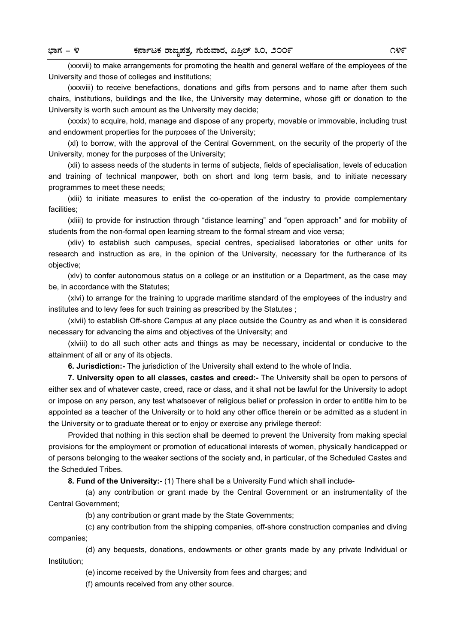(xxxvii) to make arrangements for promoting the health and general welfare of the employees of the University and those of colleges and institutions;

(xxxviii) to receive benefactions, donations and gifts from persons and to name after them such chairs, institutions, buildings and the like, the University may determine, whose gift or donation to the University is worth such amount as the University may decide;

(xxxix) to acquire, hold, manage and dispose of any property, movable or immovable, including trust and endowment properties for the purposes of the University;

(xl) to borrow, with the approval of the Central Government, on the security of the property of the University, money for the purposes of the University;

(xli) to assess needs of the students in terms of subjects, fields of specialisation, levels of education and training of technical manpower, both on short and long term basis, and to initiate necessary programmes to meet these needs;

(xlii) to initiate measures to enlist the co-operation of the industry to provide complementary facilities;

(xliii) to provide for instruction through "distance learning" and "open approach" and for mobility of students from the non-formal open learning stream to the formal stream and vice versa;

(xliv) to establish such campuses, special centres, specialised laboratories or other units for research and instruction as are, in the opinion of the University, necessary for the furtherance of its objective;

(xlv) to confer autonomous status on a college or an institution or a Department, as the case may be, in accordance with the Statutes;

(xlvi) to arrange for the training to upgrade maritime standard of the employees of the industry and institutes and to levy fees for such training as prescribed by the Statutes ;

(xlvii) to establish Off-shore Campus at any place outside the Country as and when it is considered necessary for advancing the aims and objectives of the University; and

(xlviii) to do all such other acts and things as may be necessary, incidental or conducive to the attainment of all or any of its objects.

**6. Jurisdiction:-** The jurisdiction of the University shall extend to the whole of India.

**7. University open to all classes, castes and creed:-** The University shall be open to persons of either sex and of whatever caste, creed, race or class, and it shall not be lawful for the University to adopt or impose on any person, any test whatsoever of religious belief or profession in order to entitle him to be appointed as a teacher of the University or to hold any other office therein or be admitted as a student in the University or to graduate thereat or to enjoy or exercise any privilege thereof:

Provided that nothing in this section shall be deemed to prevent the University from making special provisions for the employment or promotion of educational interests of women, physically handicapped or of persons belonging to the weaker sections of the society and, in particular, of the Scheduled Castes and the Scheduled Tribes.

**8. Fund of the University:-** (1) There shall be a University Fund which shall include-

 (a) any contribution or grant made by the Central Government or an instrumentality of the Central Government;

(b) any contribution or grant made by the State Governments;

 (c) any contribution from the shipping companies, off-shore construction companies and diving companies;

 (d) any bequests, donations, endowments or other grants made by any private Individual or Institution;

(e) income received by the University from fees and charges; and

(f) amounts received from any other source.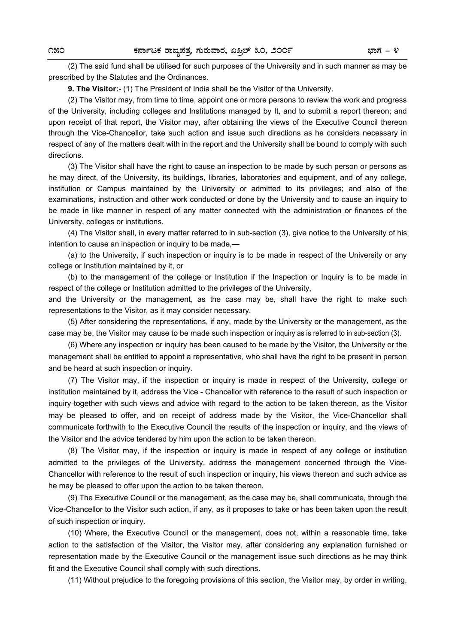(2) The said fund shall be utilised for such purposes of the University and in such manner as may be prescribed by the Statutes and the Ordinances.

**9. The Visitor:-** (1) The President of India shall be the Visitor of the University.

(2) The Visitor may, from time to time, appoint one or more persons to review the work and progress of the University, including colleges and Institutions managed by It, and to submit a report thereon; and upon receipt of that report, the Visitor may, after obtaining the views of the Executive Council thereon through the Vice-Chancellor, take such action and issue such directions as he considers necessary in respect of any of the matters dealt with in the report and the University shall be bound to comply with such directions.

(3) The Visitor shall have the right to cause an inspection to be made by such person or persons as he may direct, of the University, its buildings, libraries, laboratories and equipment, and of any college, institution or Campus maintained by the University or admitted to its privileges; and also of the examinations, instruction and other work conducted or done by the University and to cause an inquiry to be made in like manner in respect of any matter connected with the administration or finances of the University, colleges or institutions.

(4) The Visitor shall, in every matter referred to in sub-section (3), give notice to the University of his intention to cause an inspection or inquiry to be made,—

 (a) to the University, if such inspection or inquiry is to be made in respect of the University or any college or Institution maintained by it, or

(b) to the management of the college or Institution if the Inspection or Inquiry is to be made in respect of the college or Institution admitted to the privileges of the University,

and the University or the management, as the case may be, shall have the right to make such representations to the Visitor, as it may consider necessary.

 (5) After considering the representations, if any, made by the University or the management, as the case may be, the Visitor may cause to be made such inspection or inquiry as is referred to in sub-section (3).

 (6) Where any inspection or inquiry has been caused to be made by the Visitor, the University or the management shall be entitled to appoint a representative, who shall have the right to be present in person and be heard at such inspection or inquiry.

 (7) The Visitor may, if the inspection or inquiry is made in respect of the University, college or institution maintained by it, address the Vice - Chancellor with reference to the result of such inspection or inquiry together with such views and advice with regard to the action to be taken thereon, as the Visitor may be pleased to offer, and on receipt of address made by the Visitor, the Vice-Chancellor shall communicate forthwith to the Executive Council the results of the inspection or inquiry, and the views of the Visitor and the advice tendered by him upon the action to be taken thereon.

 (8) The Visitor may, if the inspection or inquiry is made in respect of any college or institution admitted to the privileges of the University, address the management concerned through the Vice-Chancellor with reference to the result of such inspection or inquiry, his views thereon and such advice as he may be pleased to offer upon the action to be taken thereon.

 (9) The Executive Council or the management, as the case may be, shall communicate, through the Vice-Chancellor to the Visitor such action, if any, as it proposes to take or has been taken upon the result of such inspection or inquiry.

 (10) Where, the Executive Council or the management, does not, within a reasonable time, take action to the satisfaction of the Visitor, the Visitor may, after considering any explanation furnished or representation made by the Executive Council or the management issue such directions as he may think fit and the Executive Council shall comply with such directions.

(11) Without prejudice to the foregoing provisions of this section, the Visitor may, by order in writing,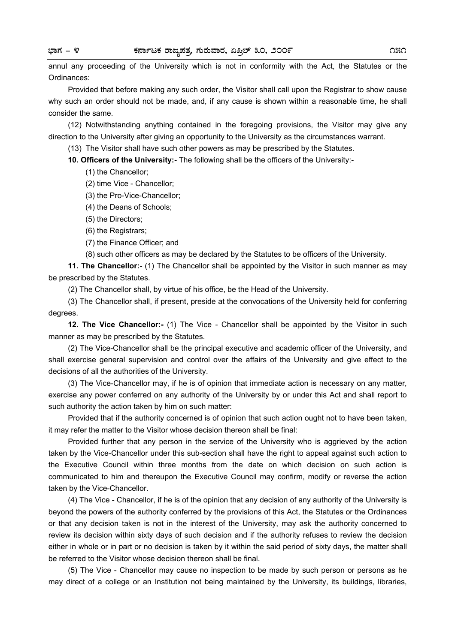annul any proceeding of the University which is not in conformity with the Act, the Statutes or the Ordinances:

 Provided that before making any such order, the Visitor shall call upon the Registrar to show cause why such an order should not be made, and, if any cause is shown within a reasonable time, he shall consider the same.

 (12) Notwithstanding anything contained in the foregoing provisions, the Visitor may give any direction to the University after giving an opportunity to the University as the circumstances warrant.

(13) The Visitor shall have such other powers as may be prescribed by the Statutes.

**10. Officers of the University:-** The following shall be the officers of the University:-

- (1) the Chancellor;
- (2) time Vice Chancellor;
- (3) the Pro-Vice-Chancellor;
- (4) the Deans of Schools;
- (5) the Directors;
- (6) the Registrars;
- (7) the Finance Officer; and
- (8) such other officers as may be declared by the Statutes to be officers of the University.

**11. The Chancellor:-** (1) The Chancellor shall be appointed by the Visitor in such manner as may be prescribed by the Statutes.

(2) The Chancellor shall, by virtue of his office, be the Head of the University.

(3) The Chancellor shall, if present, preside at the convocations of the University held for conferring degrees.

**12. The Vice Chancellor:-** (1) The Vice - Chancellor shall be appointed by the Visitor in such manner as may be prescribed by the Statutes.

(2) The Vice-Chancellor shall be the principal executive and academic officer of the University, and shall exercise general supervision and control over the affairs of the University and give effect to the decisions of all the authorities of the University.

(3) The Vice-Chancellor may, if he is of opinion that immediate action is necessary on any matter, exercise any power conferred on any authority of the University by or under this Act and shall report to such authority the action taken by him on such matter:

Provided that if the authority concerned is of opinion that such action ought not to have been taken, it may refer the matter to the Visitor whose decision thereon shall be final:

Provided further that any person in the service of the University who is aggrieved by the action taken by the Vice-Chancellor under this sub-section shall have the right to appeal against such action to the Executive Council within three months from the date on which decision on such action is communicated to him and thereupon the Executive Council may confirm, modify or reverse the action taken by the Vice-Chancellor.

(4) The Vice - Chancellor, if he is of the opinion that any decision of any authority of the University is beyond the powers of the authority conferred by the provisions of this Act, the Statutes or the Ordinances or that any decision taken is not in the interest of the University, may ask the authority concerned to review its decision within sixty days of such decision and if the authority refuses to review the decision either in whole or in part or no decision is taken by it within the said period of sixty days, the matter shall be referred to the Visitor whose decision thereon shall be final.

(5) The Vice - Chancellor may cause no inspection to be made by such person or persons as he may direct of a college or an Institution not being maintained by the University, its buildings, libraries,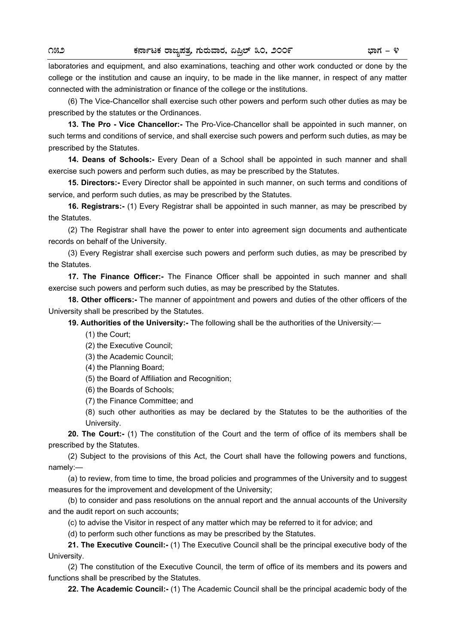laboratories and equipment, and also examinations, teaching and other work conducted or done by the college or the institution and cause an inquiry, to be made in the like manner, in respect of any matter connected with the administration or finance of the college or the institutions.

 (6) The Vice-Chancellor shall exercise such other powers and perform such other duties as may be prescribed by the statutes or the Ordinances.

**13. The Pro - Vice Chancellor:-** The Pro-Vice-Chancellor shall be appointed in such manner, on such terms and conditions of service, and shall exercise such powers and perform such duties, as may be prescribed by the Statutes.

 **14. Deans of Schools:-** Every Dean of a School shall be appointed in such manner and shall exercise such powers and perform such duties, as may be prescribed by the Statutes.

**15. Directors:-** Every Director shall be appointed in such manner, on such terms and conditions of service, and perform such duties, as may be prescribed by the Statutes.

**16. Registrars:-** (1) Every Registrar shall be appointed in such manner, as may be prescribed by the Statutes.

(2) The Registrar shall have the power to enter into agreement sign documents and authenticate records on behalf of the University.

(3) Every Registrar shall exercise such powers and perform such duties, as may be prescribed by the Statutes.

**17. The Finance Officer:-** The Finance Officer shall be appointed in such manner and shall exercise such powers and perform such duties, as may be prescribed by the Statutes.

**18. Other officers:-** The manner of appointment and powers and duties of the other officers of the University shall be prescribed by the Statutes.

**19. Authorities of the University:-** The following shall be the authorities of the University:—

(1) the Court;

(2) the Executive Council;

(3) the Academic Council;

(4) the Planning Board;

(5) the Board of Affiliation and Recognition;

(6) the Boards of Schools;

(7) the Finance Committee; and

(8) such other authorities as may be declared by the Statutes to be the authorities of the University.

**20. The Court:-** (1) The constitution of the Court and the term of office of its members shall be prescribed by the Statutes.

(2) Subject to the provisions of this Act, the Court shall have the following powers and functions, namely:—

 (a) to review, from time to time, the broad policies and programmes of the University and to suggest measures for the improvement and development of the University;

 (b) to consider and pass resolutions on the annual report and the annual accounts of the University and the audit report on such accounts;

(c) to advise the Visitor in respect of any matter which may be referred to it for advice; and

(d) to perform such other functions as may be prescribed by the Statutes.

**21. The Executive Council:-** (1) The Executive Council shall be the principal executive body of the University.

 (2) The constitution of the Executive Council, the term of office of its members and its powers and functions shall be prescribed by the Statutes.

**22. The Academic Council:-** (1) The Academic Council shall be the principal academic body of the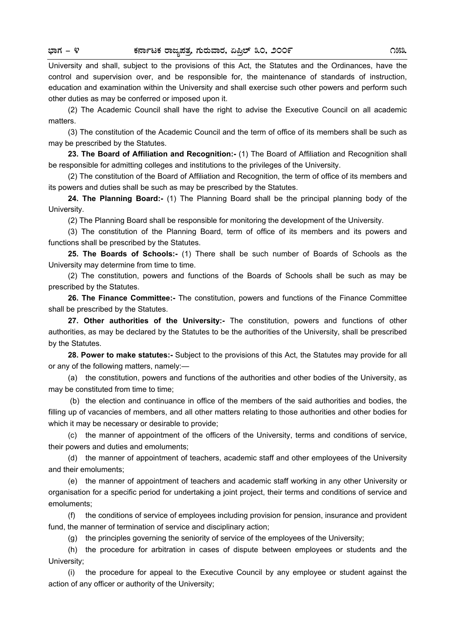University and shall, subject to the provisions of this Act, the Statutes and the Ordinances, have the control and supervision over, and be responsible for, the maintenance of standards of instruction, education and examination within the University and shall exercise such other powers and perform such other duties as may be conferred or imposed upon it.

 (2) The Academic Council shall have the right to advise the Executive Council on all academic matters.

 (3) The constitution of the Academic Council and the term of office of its members shall be such as may be prescribed by the Statutes.

**23. The Board of Affiliation and Recognition:-** (1) The Board of Affiliation and Recognition shall be responsible for admitting colleges and institutions to the privileges of the University.

(2) The constitution of the Board of Affiliation and Recognition, the term of office of its members and its powers and duties shall be such as may be prescribed by the Statutes.

**24. The Planning Board:-** (1) The Planning Board shall be the principal planning body of the University.

(2) The Planning Board shall be responsible for monitoring the development of the University.

(3) The constitution of the Planning Board, term of office of its members and its powers and functions shall be prescribed by the Statutes.

**25. The Boards of Schools:-** (1) There shall be such number of Boards of Schools as the University may determine from time to time.

(2) The constitution, powers and functions of the Boards of Schools shall be such as may be prescribed by the Statutes.

**26. The Finance Committee:-** The constitution, powers and functions of the Finance Committee shall be prescribed by the Statutes.

**27. Other authorities of the University:-** The constitution, powers and functions of other authorities, as may be declared by the Statutes to be the authorities of the University, shall be prescribed by the Statutes.

**28. Power to make statutes:-** Subject to the provisions of this Act, the Statutes may provide for all or any of the following matters, namely:—

(a) the constitution, powers and functions of the authorities and other bodies of the University, as may be constituted from time to time;

 (b) the election and continuance in office of the members of the said authorities and bodies, the filling up of vacancies of members, and all other matters relating to those authorities and other bodies for which it may be necessary or desirable to provide;

(c) the manner of appointment of the officers of the University, terms and conditions of service, their powers and duties and emoluments;

(d) the manner of appointment of teachers, academic staff and other employees of the University and their emoluments;

 (e) the manner of appointment of teachers and academic staff working in any other University or organisation for a specific period for undertaking a joint project, their terms and conditions of service and emoluments;

 (f) the conditions of service of employees including provision for pension, insurance and provident fund, the manner of termination of service and disciplinary action;

(g) the principles governing the seniority of service of the employees of the University;

 (h) the procedure for arbitration in cases of dispute between employees or students and the University;

 (i) the procedure for appeal to the Executive Council by any employee or student against the action of any officer or authority of the University;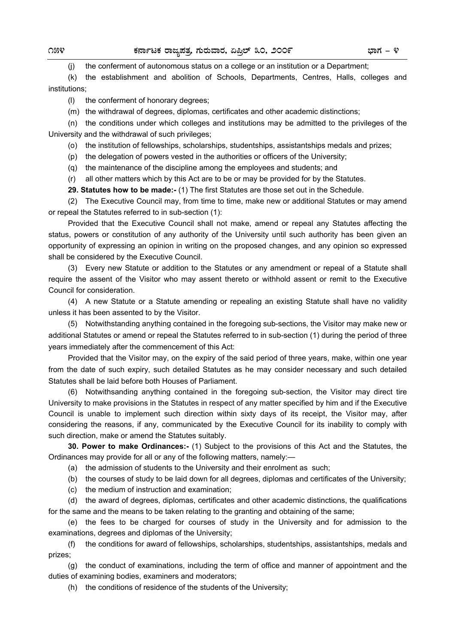(j) the conferment of autonomous status on a college or an institution or a Department;

 (k) the establishment and abolition of Schools, Departments, Centres, Halls, colleges and institutions;

- (l) the conferment of honorary degrees;
- (m) the withdrawal of degrees, diplomas, certificates and other academic distinctions;

 (n) the conditions under which colleges and institutions may be admitted to the privileges of the University and the withdrawal of such privileges;

(o) the institution of fellowships, scholarships, studentships, assistantships medals and prizes;

- (p) the delegation of powers vested in the authorities or officers of the University;
- (q) the maintenance of the discipline among the employees and students; and

(r) all other matters which by this Act are to be or may be provided for by the Statutes.

 **29. Statutes how to be made:-** (1) The first Statutes are those set out in the Schedule.

 (2) The Executive Council may, from time to time, make new or additional Statutes or may amend or repeal the Statutes referred to in sub-section (1):

 Provided that the Executive Council shall not make, amend or repeal any Statutes affecting the status, powers or constitution of any authority of the University until such authority has been given an opportunity of expressing an opinion in writing on the proposed changes, and any opinion so expressed shall be considered by the Executive Council.

(3) Every new Statute or addition to the Statutes or any amendment or repeal of a Statute shall require the assent of the Visitor who may assent thereto or withhold assent or remit to the Executive Council for consideration.

(4) A new Statute or a Statute amending or repealing an existing Statute shall have no validity unless it has been assented to by the Visitor.

(5) Notwithstanding anything contained in the foregoing sub-sections, the Visitor may make new or additional Statutes or amend or repeal the Statutes referred to in sub-section (1) during the period of three years immediately after the commencement of this Act:

Provided that the Visitor may, on the expiry of the said period of three years, make, within one year from the date of such expiry, such detailed Statutes as he may consider necessary and such detailed Statutes shall be laid before both Houses of Parliament.

(6) Notwithsanding anything contained in the foregoing sub-section, the Visitor may direct tire University to make provisions in the Statutes in respect of any matter specified by him and if the Executive Council is unable to implement such direction within sixty days of its receipt, the Visitor may, after considering the reasons, if any, communicated by the Executive Council for its inability to comply with such direction, make or amend the Statutes suitably.

**30. Power to make Ordinances:-** (1) Subject to the provisions of this Act and the Statutes, the Ordinances may provide for all or any of the following matters, namely:—

(a) the admission of students to the University and their enrolment as such;

(b) the courses of study to be laid down for all degrees, diplomas and certificates of the University;

(c) the medium of instruction and examination;

 (d) the award of degrees, diplomas, certificates and other academic distinctions, the qualifications for the same and the means to be taken relating to the granting and obtaining of the same;

 (e) the fees to be charged for courses of study in the University and for admission to the examinations, degrees and diplomas of the University;

 (f) the conditions for award of fellowships, scholarships, studentships, assistantships, medals and prizes;

 (g) the conduct of examinations, including the term of office and manner of appointment and the duties of examining bodies, examiners and moderators;

(h) the conditions of residence of the students of the University;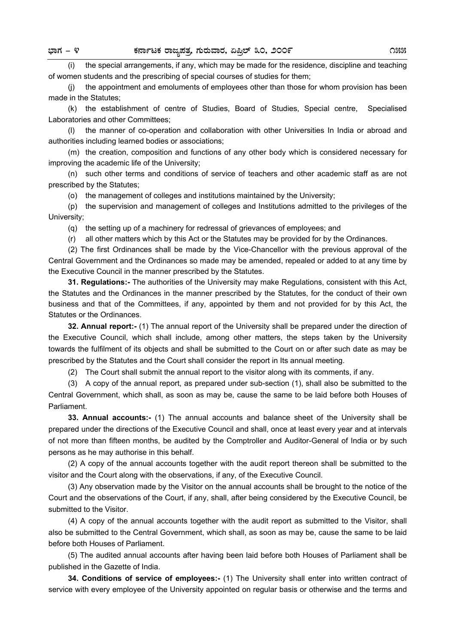(i) the special arrangements, if any, which may be made for the residence, discipline and teaching of women students and the prescribing of special courses of studies for them;

 (j) the appointment and emoluments of employees other than those for whom provision has been made in the Statutes;

(k) the establishment of centre of Studies, Board of Studies, Special centre, Specialised Laboratories and other Committees;

(l) the manner of co-operation and collaboration with other Universities In India or abroad and authorities including learned bodies or associations;

 (m) the creation, composition and functions of any other body which is considered necessary for improving the academic life of the University;

 (n) such other terms and conditions of service of teachers and other academic staff as are not prescribed by the Statutes;

(o) the management of colleges and institutions maintained by the University;

 (p) the supervision and management of colleges and Institutions admitted to the privileges of the University;

(q) the setting up of a machinery for redressal of grievances of employees; and

(r) all other matters which by this Act or the Statutes may be provided for by the Ordinances.

(2) The first Ordinances shall be made by the Vice-Chancellor with the previous approval of the Central Government and the Ordinances so made may be amended, repealed or added to at any time by the Executive Council in the manner prescribed by the Statutes.

**31. Regulations:-** The authorities of the University may make Regulations, consistent with this Act, the Statutes and the Ordinances in the manner prescribed by the Statutes, for the conduct of their own business and that of the Committees, if any, appointed by them and not provided for by this Act, the Statutes or the Ordinances.

**32. Annual report:-** (1) The annual report of the University shall be prepared under the direction of the Executive Council, which shall include, among other matters, the steps taken by the University towards the fulfilment of its objects and shall be submitted to the Court on or after such date as may be prescribed by the Statutes and the Court shall consider the report in Its annual meeting.

(2) The Court shall submit the annual report to the visitor along with its comments, if any.

 (3) A copy of the annual report, as prepared under sub-section (1), shall also be submitted to the Central Government, which shall, as soon as may be, cause the same to be laid before both Houses of Parliament.

**33. Annual accounts:-** (1) The annual accounts and balance sheet of the University shall be prepared under the directions of the Executive Council and shall, once at least every year and at intervals of not more than fifteen months, be audited by the Comptroller and Auditor-General of India or by such persons as he may authorise in this behalf.

 (2) A copy of the annual accounts together with the audit report thereon shall be submitted to the visitor and the Court along with the observations, if any, of the Executive Council.

 (3) Any observation made by the Visitor on the annual accounts shall be brought to the notice of the Court and the observations of the Court, if any, shall, after being considered by the Executive Council, be submitted to the Visitor.

 (4) A copy of the annual accounts together with the audit report as submitted to the Visitor, shall also be submitted to the Central Government, which shall, as soon as may be, cause the same to be laid before both Houses of Parliament.

 (5) The audited annual accounts after having been laid before both Houses of Parliament shall be published in the Gazette of India.

**34. Conditions of service of employees:-** (1) The University shall enter into written contract of service with every employee of the University appointed on regular basis or otherwise and the terms and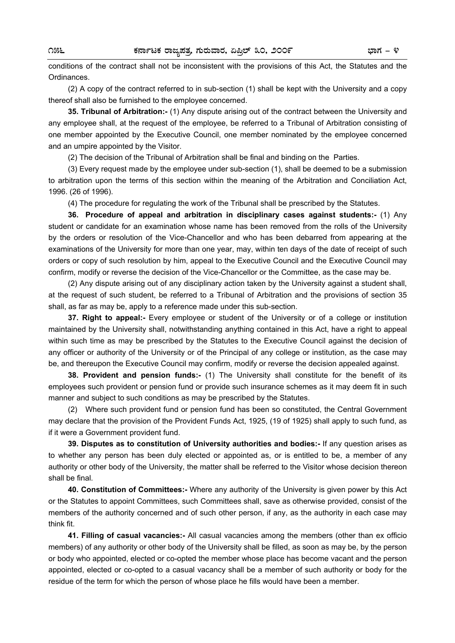conditions of the contract shall not be inconsistent with the provisions of this Act, the Statutes and the Ordinances.

 (2) A copy of the contract referred to in sub-section (1) shall be kept with the University and a copy thereof shall also be furnished to the employee concerned.

**35. Tribunal of Arbitration:-** (1) Any dispute arising out of the contract between the University and any employee shall, at the request of the employee, be referred to a Tribunal of Arbitration consisting of one member appointed by the Executive Council, one member nominated by the employee concerned and an umpire appointed by the Visitor.

(2) The decision of the Tribunal of Arbitration shall be final and binding on the Parties.

(3) Every request made by the employee under sub-section (1), shall be deemed to be a submission to arbitration upon the terms of this section within the meaning of the Arbitration and Conciliation Act, 1996. (26 of 1996).

(4) The procedure for regulating the work of the Tribunal shall be prescribed by the Statutes.

**36. Procedure of appeal and arbitration in disciplinary cases against students:-** (1) Any student or candidate for an examination whose name has been removed from the rolls of the University by the orders or resolution of the Vice-Chancellor and who has been debarred from appearing at the examinations of the University for more than one year, may, within ten days of the date of receipt of such orders or copy of such resolution by him, appeal to the Executive Council and the Executive Council may confirm, modify or reverse the decision of the Vice-Chancellor or the Committee, as the case may be.

(2) Any dispute arising out of any disciplinary action taken by the University against a student shall, at the request of such student, be referred to a Tribunal of Arbitration and the provisions of section 35 shall, as far as may be, apply to a reference made under this sub-section.

**37. Right to appeal:-** Every employee or student of the University or of a college or institution maintained by the University shall, notwithstanding anything contained in this Act, have a right to appeal within such time as may be prescribed by the Statutes to the Executive Council against the decision of any officer or authority of the University or of the Principal of any college or institution, as the case may be, and thereupon the Executive Council may confirm, modify or reverse the decision appealed against.

**38. Provident and pension funds:-** (1) The University shall constitute for the benefit of its employees such provident or pension fund or provide such insurance schemes as it may deem fit in such manner and subject to such conditions as may be prescribed by the Statutes.

(2) Where such provident fund or pension fund has been so constituted, the Central Government may declare that the provision of the Provident Funds Act, 1925, (19 of 1925) shall apply to such fund, as if it were a Government provident fund.

**39. Disputes as to constitution of University authorities and bodies:-** If any question arises as to whether any person has been duly elected or appointed as, or is entitled to be, a member of any authority or other body of the University, the matter shall be referred to the Visitor whose decision thereon shall be final.

**40. Constitution of Committees:-** Where any authority of the University is given power by this Act or the Statutes to appoint Committees, such Committees shall, save as otherwise provided, consist of the members of the authority concerned and of such other person, if any, as the authority in each case may think fit.

**41. Filling of casual vacancies:-** All casual vacancies among the members (other than ex officio members) of any authority or other body of the University shall be filled, as soon as may be, by the person or body who appointed, elected or co-opted the member whose place has become vacant and the person appointed, elected or co-opted to a casual vacancy shall be a member of such authority or body for the residue of the term for which the person of whose place he fills would have been a member.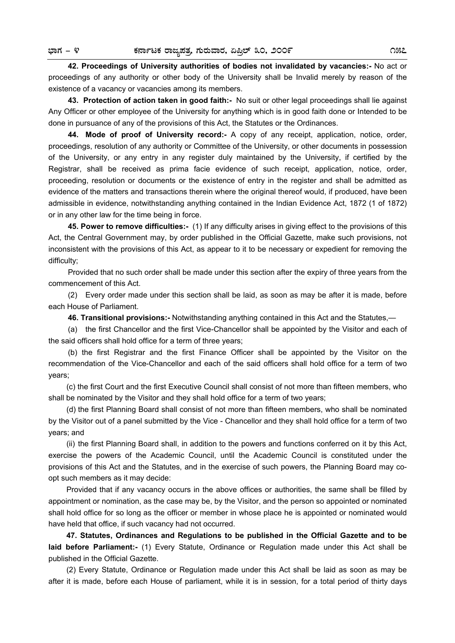**42. Proceedings of University authorities of bodies not invalidated by vacancies:-** No act or proceedings of any authority or other body of the University shall be Invalid merely by reason of the existence of a vacancy or vacancies among its members.

**43. Protection of action taken in good faith:-** No suit or other legal proceedings shall lie against Any Officer or other employee of the University for anything which is in good faith done or Intended to be done in pursuance of any of the provisions of this Act, the Statutes or the Ordinances.

**44. Mode of proof of University record:-** A copy of any receipt, application, notice, order, proceedings, resolution of any authority or Committee of the University, or other documents in possession of the University, or any entry in any register duly maintained by the University, if certified by the Registrar, shall be received as prima facie evidence of such receipt, application, notice, order, proceeding, resolution or documents or the existence of entry in the register and shall be admitted as evidence of the matters and transactions therein where the original thereof would, if produced, have been admissible in evidence, notwithstanding anything contained in the Indian Evidence Act, 1872 (1 of 1872) or in any other law for the time being in force.

**45. Power to remove difficulties:-** (1) If any difficulty arises in giving effect to the provisions of this Act, the Central Government may, by order published in the Official Gazette, make such provisions, not inconsistent with the provisions of this Act, as appear to it to be necessary or expedient for removing the difficulty;

Provided that no such order shall be made under this section after the expiry of three years from the commencement of this Act.

(2) Every order made under this section shall be laid, as soon as may be after it is made, before each House of Parliament.

**46. Transitional provisions:-** Notwithstanding anything contained in this Act and the Statutes,—

(a) the first Chancellor and the first Vice-Chancellor shall be appointed by the Visitor and each of the said officers shall hold office for a term of three years;

(b) the first Registrar and the first Finance Officer shall be appointed by the Visitor on the recommendation of the Vice-Chancellor and each of the said officers shall hold office for a term of two years;

 (c) the first Court and the first Executive Council shall consist of not more than fifteen members, who shall be nominated by the Visitor and they shall hold office for a term of two years;

(d) the first Planning Board shall consist of not more than fifteen members, who shall be nominated by the Visitor out of a panel submitted by the Vice - Chancellor and they shall hold office for a term of two years; and

 (ii) the first Planning Board shall, in addition to the powers and functions conferred on it by this Act, exercise the powers of the Academic Council, until the Academic Council is constituted under the provisions of this Act and the Statutes, and in the exercise of such powers, the Planning Board may coopt such members as it may decide:

 Provided that if any vacancy occurs in the above offices or authorities, the same shall be filled by appointment or nomination, as the case may be, by the Visitor, and the person so appointed or nominated shall hold office for so long as the officer or member in whose place he is appointed or nominated would have held that office, if such vacancy had not occurred.

**47. Statutes, Ordinances and Regulations to be published in the Official Gazette and to be laid before Parliament:-** (1) Every Statute, Ordinance or Regulation made under this Act shall be published in the Official Gazette.

 (2) Every Statute, Ordinance or Regulation made under this Act shall be laid as soon as may be after it is made, before each House of parliament, while it is in session, for a total period of thirty days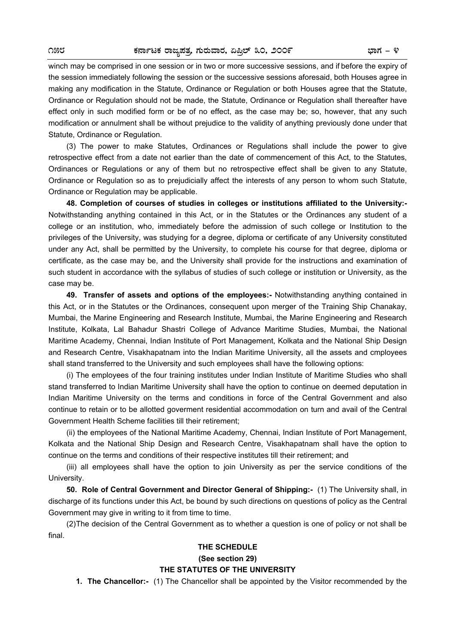winch may be comprised in one session or in two or more successive sessions, and if before the expiry of the session immediately following the session or the successive sessions aforesaid, both Houses agree in making any modification in the Statute, Ordinance or Regulation or both Houses agree that the Statute, Ordinance or Regulation should not be made, the Statute, Ordinance or Regulation shall thereafter have effect only in such modified form or be of no effect, as the case may be; so, however, that any such modification or annulment shall be without prejudice to the validity of anything previously done under that Statute, Ordinance or Regulation.

 (3) The power to make Statutes, Ordinances or Regulations shall include the power to give retrospective effect from a date not earlier than the date of commencement of this Act, to the Statutes, Ordinances or Regulations or any of them but no retrospective effect shall be given to any Statute, Ordinance or Regulation so as to prejudicially affect the interests of any person to whom such Statute, Ordinance or Regulation may be applicable.

 **48. Completion of courses of studies in colleges or institutions affiliated to the University:-** Notwithstanding anything contained in this Act, or in the Statutes or the Ordinances any student of a college or an institution, who, immediately before the admission of such college or Institution to the privileges of the University, was studying for a degree, diploma or certificate of any University constituted under any Act, shall be permitted by the University, to complete his course for that degree, diploma or certificate, as the case may be, and the University shall provide for the instructions and examination of such student in accordance with the syllabus of studies of such college or institution or University, as the case may be.

 **49. Transfer of assets and options of the employees:-** Notwithstanding anything contained in this Act, or in the Statutes or the Ordinances, consequent upon merger of the Training Ship Chanakay, Mumbai, the Marine Engineering and Research Institute, Mumbai, the Marine Engineering and Research Institute, Kolkata, Lal Bahadur Shastri College of Advance Maritime Studies, Mumbai, the National Maritime Academy, Chennai, Indian Institute of Port Management, Kolkata and the National Ship Design and Research Centre, Visakhapatnam into the Indian Maritime University, all the assets and cmployees shall stand transferred to the University and such employees shall have the following options:

 (i) The employees of the four training institutes under Indian Institute of Maritime Studies who shall stand transferred to Indian Maritime University shall have the option to continue on deemed deputation in Indian Maritime University on the terms and conditions in force of the Central Government and also continue to retain or to be allotted goverment residential accommodation on turn and avail of the Central Government Health Scheme facilities till their retirement;

 (ii) the employees of the National Maritime Academy, Chennai, Indian Institute of Port Management, Kolkata and the National Ship Design and Research Centre, Visakhapatnam shall have the option to continue on the terms and conditions of their respective institutes till their retirement; and

 (iii) all employees shall have the option to join University as per the service conditions of the University.

 **50. Role of Central Government and Director General of Shipping:-** (1) The University shall, in discharge of its functions under this Act, be bound by such directions on questions of policy as the Central Government may give in writing to it from time to time.

 (2) The decision of the Central Government as to whether a question is one of policy or not shall be final.

#### **THE SCHEDULE**

**(See section 29)** 

#### **THE STATUTES OF THE UNIVERSITY**

 **1. The Chancellor:-** (1) The Chancellor shall be appointed by the Visitor recommended by the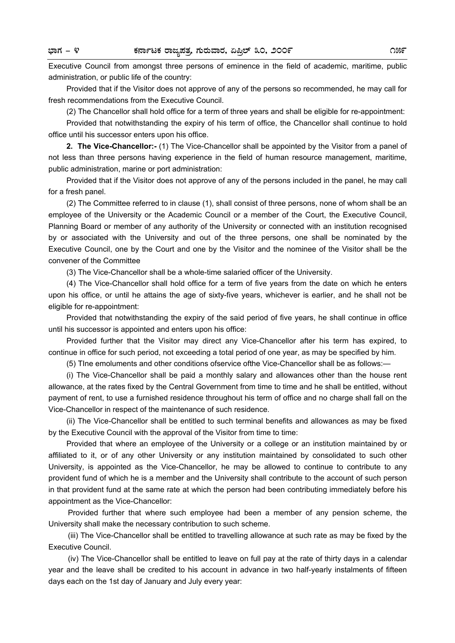Executive Council from amongst three persons of eminence in the field of academic, maritime, public administration, or public life of the country:

 Provided that if the Visitor does not approve of any of the persons so recommended, he may call for fresh recommendations from the Executive Council.

(2) The Chancellor shall hold office for a term of three years and shall be eligible for re-appointment:

 Provided that notwithstanding the expiry of his term of office, the Chancellor shall continue to hold office until his successor enters upon his office.

 **2. The Vice-Chancellor:-** (1) The Vice-Chancellor shall be appointed by the Visitor from a panel of not less than three persons having experience in the field of human resource management, maritime, public administration, marine or port administration:

 Provided that if the Visitor does not approve of any of the persons included in the panel, he may call for a fresh panel.

 (2) The Committee referred to in clause (1), shall consist of three persons, none of whom shall be an employee of the University or the Academic Council or a member of the Court, the Executive Council, Planning Board or member of any authority of the University or connected with an institution recognised by or associated with the University and out of the three persons, one shall be nominated by the Executive Council, one by the Court and one by the Visitor and the nominee of the Visitor shall be the convener of the Committee

(3) The Vice-Chancellor shall be a whole-time salaried officer of the University.

 (4) The Vice-Chancellor shall hold office for a term of five years from the date on which he enters upon his office, or until he attains the age of sixty-five years, whichever is earlier, and he shall not be eligible for re-appointment:

 Provided that notwithstanding the expiry of the said period of five years, he shall continue in office until his successor is appointed and enters upon his office:

 Provided further that the Visitor may direct any Vice-Chancellor after his term has expired, to continue in office for such period, not exceeding a total period of one year, as may be specified by him.

(5) TIne emoluments and other conditions ofservice ofthe Vice-Chancellor shall be as follows:—

 (i) The Vice-Chancellor shall be paid a monthly salary and allowances other than the house rent allowance, at the rates fixed by the Central Government from time to time and he shall be entitled, without payment of rent, to use a furnished residence throughout his term of office and no charge shall fall on the Vice-Chancellor in respect of the maintenance of such residence.

 (ii) The Vice-Chancellor shall be entitled to such terminal benefits and allowances as may be fixed by the Executive Council with the approval of the Visitor from time to time:

 Provided that where an employee of the University or a college or an institution maintained by or affiliated to it, or of any other University or any institution maintained by consolidated to such other University, is appointed as the Vice-Chancellor, he may be allowed to continue to contribute to any provident fund of which he is a member and the University shall contribute to the account of such person in that provident fund at the same rate at which the person had been contributing immediately before his appointment as the Vice-Chancellor:

 Provided further that where such employee had been a member of any pension scheme, the University shall make the necessary contribution to such scheme.

 (iii) The Vice-Chancellor shall be entitled to travelling allowance at such rate as may be fixed by the Executive Council.

 (iv) The Vice-Chancellor shall be entitled to leave on full pay at the rate of thirty days in a calendar year and the leave shall be credited to his account in advance in two half-yearly instalments of fifteen days each on the 1st day of January and July every year: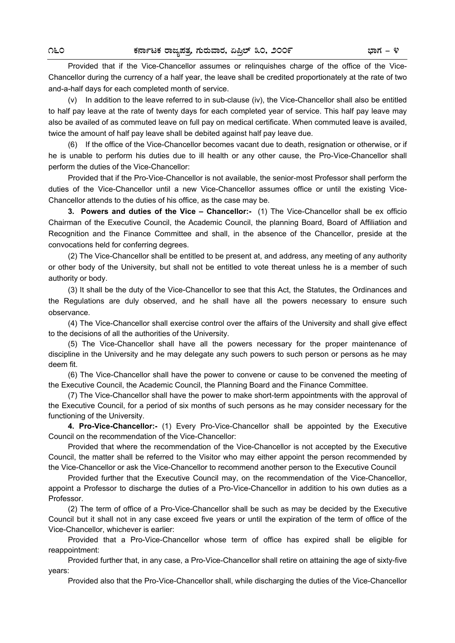Provided that if the Vice-Chancellor assumes or relinquishes charge of the office of the Vice-Chancellor during the currency of a half year, the leave shall be credited proportionately at the rate of two and-a-half days for each completed month of service.

 (v) In addition to the leave referred to in sub-clause (iv), the Vice-Chancellor shall also be entitled to half pay leave at the rate of twenty days for each completed year of service. This half pay leave may also be availed of as commuted leave on full pay on medical certificate. When commuted leave is availed, twice the amount of half pay leave shall be debited against half pay leave due.

 (6) If the office of the Vice-Chancellor becomes vacant due to death, resignation or otherwise, or if he is unable to perform his duties due to ill health or any other cause, the Pro-Vice-Chancellor shall perform the duties of the Vice-Chancellor:

 Provided that if the Pro-Vice-Chancellor is not available, the senior-most Professor shall perform the duties of the Vice-Chancellor until a new Vice-Chancellor assumes office or until the existing Vice-Chancellor attends to the duties of his office, as the case may be.

 **3. Powers and duties of the Vice – Chancellor:-** (1) The Vice-Chancellor shall be ex officio Chairman of the Executive Council, the Academic Council, the planning Board, Board of Affiliation and Recognition and the Finance Committee and shall, in the absence of the Chancellor, preside at the convocations held for conferring degrees.

 (2) The Vice-Chancellor shall be entitled to be present at, and address, any meeting of any authority or other body of the University, but shall not be entitled to vote thereat unless he is a member of such authority or body.

 (3) It shall be the duty of the Vice-Chancellor to see that this Act, the Statutes, the Ordinances and the Regulations are duly observed, and he shall have all the powers necessary to ensure such observance.

 (4) The Vice-Chancellor shall exercise control over the affairs of the University and shall give effect to the decisions of all the authorities of the University.

 (5) The Vice-Chancellor shall have all the powers necessary for the proper maintenance of discipline in the University and he may delegate any such powers to such person or persons as he may deem fit.

 (6) The Vice-Chancellor shall have the power to convene or cause to be convened the meeting of the Executive Council, the Academic Council, the Planning Board and the Finance Committee.

 (7) The Vice-Chancellor shall have the power to make short-term appointments with the approval of the Executive Council, for a period of six months of such persons as he may consider necessary for the functioning of the University.

 **4. Pro-Vice-Chancellor:-** (1) Every Pro-Vice-Chancellor shall be appointed by the Executive Council on the recommendation of the Vice-Chancellor:

 Provided that where the recommendation of the Vice-Chancellor is not accepted by the Executive Council, the matter shall be referred to the Visitor who may either appoint the person recommended by the Vice-Chancellor or ask the Vice-Chancellor to recommend another person to the Executive Council

 Provided further that the Executive Council may, on the recommendation of the Vice-Chancellor, appoint a Professor to discharge the duties of a Pro-Vice-Chancellor in addition to his own duties as a Professor.

 (2) The term of office of a Pro-Vice-Chancellor shall be such as may be decided by the Executive Council but it shall not in any case exceed five years or until the expiration of the term of office of the Vice-Chancellor, whichever is earlier:

 Provided that a Pro-Vice-Chancellor whose term of office has expired shall be eligible for reappointment:

 Provided further that, in any case, a Pro-Vice-Chancellor shall retire on attaining the age of sixty-five years:

Provided also that the Pro-Vice-Chancellor shall, while discharging the duties of the Vice-Chancellor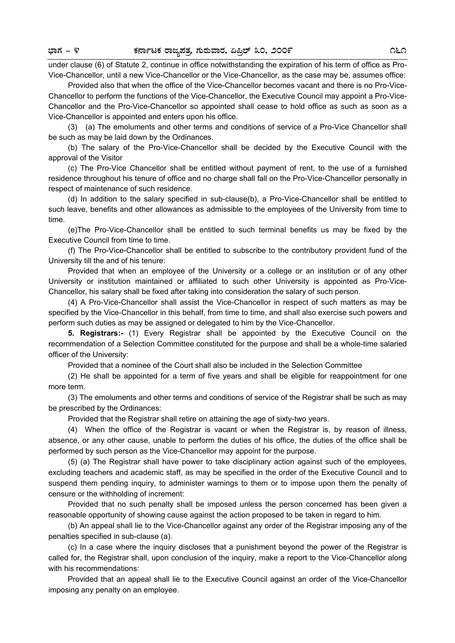under clause (6) of Statute 2, continue in office notwithstanding the expiration of his term of office as Pro-Vice-Chancellor, until a new Vice-Chancellor or the Vice-Chancellor, as the case may be, assumes office:

 Provided also that when the office of the Vice-Chancellor becomes vacant and there is no Pro-Vice-Chancellor to perform the functions of the Vice-Chancellor, the Executive Council may appoint a Pro-Vice-Chancellor and the Pro-Vice-Chancellor so appointed shall cease to hold office as such as soon as a Vice-Chancellor is appointed and enters upon his office.

 (3) (a) The emoluments and other terms and conditions of service of a Pro-Vice Chancellor shall be such as may be laid down by the Ordinances.

 (b) The salary of the Pro-Vice-Chancellor shall be decided by the Executive Council with the approval of the Visitor

 (c) The Pro-Vice Chancellor shall be entitled without payment of rent, to the use of a furnished residence throughout his tenure of office and no charge shall fall on the Pro-Vice-Chancellor personally in respect of maintenance of such residence.

 (d) In addition to the salary specified in sub-clause(b), a Pro-Vice-Chancellor shall be entitled to such leave, benefits and other allowances as admissible to the employees of the University from time to time.

 (e)The Pro-Vice-Chancellor shall be entitled to such terminal benefits us may be fixed by the Executive Council from time to time.

 (f) The Pro-Vice-Chancellor shall be entitled to subscribe to the contributory provident fund of the University till the and of his tenure:

 Provided that when an employee of the University or a college or an institution or of any other University or institution maintained or affiliated to such other University is appointed as Pro-Vice-Chancellor, his salary shall be fixed after taking into consideration the salary of such person.

(4) A Pro-Vice-Chancellor shall assist the Vice-Chancellor in respect of such matters as may be specified by the Vice-Chancellor in this behalf, from time to time, and shall also exercise such powers and perform such duties as may be assigned or delegated to him by the Vice-Chancellor.

**5. Registrars:-** (1) Every Registrar shall be appointed by the Executive Council on the recommendation of a Selection Committee constituted for the purpose and shall be a whole-time salaried officer of the University:

Provided that a nominee of the Court shall also be included in the Selection Committee

(2) He shall be appointed for a term of five years and shall be eligible for reappointment for one more term.

(3) The emoluments and other terms and conditions of service of the Registrar shall be such as may be prescribed by the Ordinances:

Provided that the Registrar shall retire on attaining the age of sixty-two years.

(4) When the office of the Registrar is vacant or when the Registrar is, by reason of illness, absence, or any other cause, unable to perform the duties of his office, the duties of the office shall be performed by such person as the Vice-Chancellor may appoint for the purpose.

(5) (a) The Registrar shall have power to take disciplinary action against such of the employees, excluding teachers and academic staff, as may be specified in the order of the Executive Council and to suspend them pending inquiry, to administer warnings to them or to impose upon them the penalty of censure or the withholding of increment:

Provided that no such penalty shall be imposed unless the person concerned has been given a reasonable opportunity of showing cause against the action proposed to be taken in regard to him.

(b) An appeal shall lie to the Vice-Chancellor against any order of the Registrar imposing any of the penalties specified in sub-clause (a).

(c) In a case where the inquiry discloses that a punishment beyond the power of the Registrar is called for, the Registrar shall, upon conclusion of the inquiry, make a report to the Vice-Chancellor along with his recommendations:

Provided that an appeal shall lie to the Executive Council against an order of the Vice-Chancellor imposing any penalty on an employee.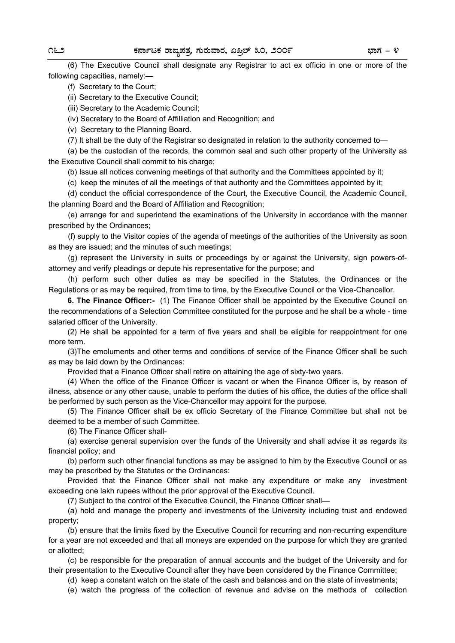(6) The Executive Council shall designate any Registrar to act ex officio in one or more of the following capacities, namely:—

(f) Secretary to the Court;

(ii) Secretary to the Executive Council;

(iii) Secretary to the Academic Council;

(iv) Secretary to the Board of Affilliation and Recognition; and

(v) Secretary to the Planning Board.

(7) It shall be the duty of the Registrar so designated in relation to the authority concerned to—

(a) be the custodian of the records, the common seal and such other property of the University as the Executive Council shall commit to his charge;

(b) Issue all notices convening meetings of that authority and the Committees appointed by it;

(c) keep the minutes of all the meetings of that authority and the Committees appointed by it;

(d) conduct the official correspondence of the Court, the Executive Council, the Academic Council, the planning Board and the Board of Affiliation and Recognition;

(e) arrange for and superintend the examinations of the University in accordance with the manner prescribed by the Ordinances;

(f) supply to the Visitor copies of the agenda of meetings of the authorities of the University as soon as they are issued; and the minutes of such meetings;

(g) represent the University in suits or proceedings by or against the University, sign powers-ofattorney and verify pleadings or depute his representative for the purpose; and

(h) perform such other duties as may be specified in the Statutes, the Ordinances or the Regulations or as may be required, from time to time, by the Executive Council or the Vice-Chancellor.

**6. The Finance Officer:-** (1) The Finance Officer shall be appointed by the Executive Council on the recommendations of a Selection Committee constituted for the purpose and he shall be a whole - time salaried officer of the University.

(2) He shall be appointed for a term of five years and shall be eligible for reappointment for one more term.

(3)The emoluments and other terms and conditions of service of the Finance Officer shall be such as may be laid down by the Ordinances:

Provided that a Finance Officer shall retire on attaining the age of sixty-two years.

(4) When the office of the Finance Officer is vacant or when the Finance Officer is, by reason of illness, absence or any other cause, unable to perform the duties of his office, the duties of the office shall be performed by such person as the Vice-Chancellor may appoint for the purpose.

(5) The Finance Officer shall be ex officio Secretary of the Finance Committee but shall not be deemed to be a member of such Committee.

(6) The Finance Officer shall-

(a) exercise general supervision over the funds of the University and shall advise it as regards its financial policy; and

(b) perform such other financial functions as may be assigned to him by the Executive Council or as may be prescribed by the Statutes or the Ordinances:

Provided that the Finance Officer shall not make any expenditure or make any investment exceeding one lakh rupees without the prior approval of the Executive Council.

(7) Subject to the control of the Executive Council, the Finance Officer shall—

(a) hold and manage the property and investments of the University including trust and endowed property;

(b) ensure that the limits fixed by the Executive Council for recurring and non-recurring expenditure for a year are not exceeded and that all moneys are expended on the purpose for which they are granted or allotted;

(c) be responsible for the preparation of annual accounts and the budget of the University and for their presentation to the Executive Council after they have been considered by the Finance Committee;

(d) keep a constant watch on the state of the cash and balances and on the state of investments;

(e) watch the progress of the collection of revenue and advise on the methods of collection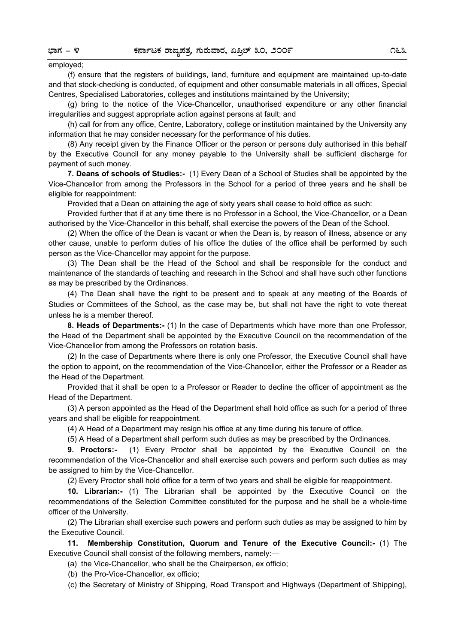## employed;

(f) ensure that the registers of buildings, land, furniture and equipment are maintained up-to-date and that stock-checking is conducted, of equipment and other consumable materials in all offices, Special Centres, Specialised Laboratories, colleges and institutions maintained by the University;

(g) bring to the notice of the Vice-Chancellor, unauthorised expenditure or any other financial irregularities and suggest appropriate action against persons at fault; and

(h) call for from any office, Centre, Laboratory, college or institution maintained by the University any information that he may consider necessary for the performance of his duties.

(8) Any receipt given by the Finance Officer or the person or persons duly authorised in this behalf by the Executive Council for any money payable to the University shall be sufficient discharge for payment of such money.

**7. Deans of schools of Studies:-** (1) Every Dean of a School of Studies shall be appointed by the Vice-Chancellor from among the Professors in the School for a period of three years and he shall be eligible for reappointment:

Provided that a Dean on attaining the age of sixty years shall cease to hold office as such:

Provided further that if at any time there is no Professor in a School, the Vice-Chancellor, or a Dean authorised by the Vice-Chancellor in this behalf, shall exercise the powers of the Dean of the School.

(2) When the office of the Dean is vacant or when the Dean is, by reason of illness, absence or any other cause, unable to perform duties of his office the duties of the office shall be performed by such person as the Vice-Chancellor may appoint for the purpose.

(3) The Dean shall be the Head of the School and shall be responsible for the conduct and maintenance of the standards of teaching and research in the School and shall have such other functions as may be prescribed by the Ordinances.

(4) The Dean shall have the right to be present and to speak at any meeting of the Boards of Studies or Committees of the School, as the case may be, but shall not have the right to vote thereat unless he is a member thereof.

**8. Heads of Departments:-** (1) In the case of Departments which have more than one Professor, the Head of the Department shall be appointed by the Executive Council on the recommendation of the Vice-Chancellor from among the Professors on rotation basis.

(2) In the case of Departments where there is only one Professor, the Executive Council shall have the option to appoint, on the recommendation of the Vice-Chancellor, either the Professor or a Reader as the Head of the Department.

Provided that it shall be open to a Professor or Reader to decline the officer of appointment as the Head of the Department.

(3) A person appointed as the Head of the Department shall hold office as such for a period of three years and shall be eligible for reappointment.

(4) A Head of a Department may resign his office at any time during his tenure of office.

(5) A Head of a Department shall perform such duties as may be prescribed by the Ordinances.

**9. Proctors:-** (1) Every Proctor shall be appointed by the Executive Council on the recommendation of the Vice-Chancellor and shall exercise such powers and perform such duties as may be assigned to him by the Vice-Chancellor.

(2) Every Proctor shall hold office for a term of two years and shall be eligible for reappointment.

**10. Librarian:-** (1) The Librarian shall be appointed by the Executive Council on the recommendations of the Selection Committee constituted for the purpose and he shall be a whole-time officer of the University.

(2) The Librarian shall exercise such powers and perform such duties as may be assigned to him by the Executive Council.

 **11. Membership Constitution, Quorum and Tenure of the Executive Council:-** (1) The Executive Council shall consist of the following members, namely:—

(a) the Vice-Chancellor, who shall be the Chairperson, ex officio;

(b) the Pro-Vice-Chancellor, ex officio;

(c) the Secretary of Ministry of Shipping, Road Transport and Highways (Department of Shipping),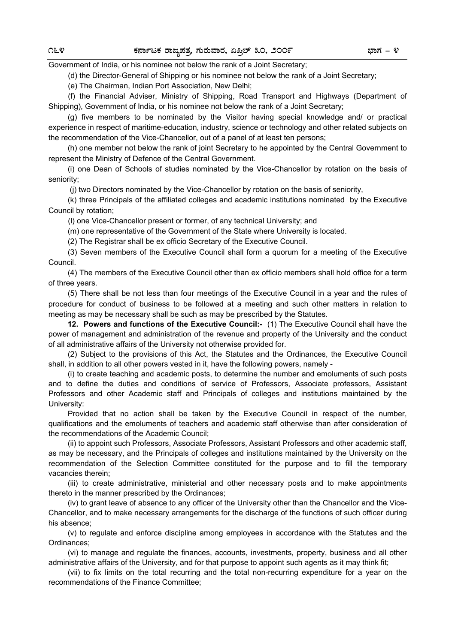Government of India, or his nominee not below the rank of a Joint Secretary;

(d) the Director-General of Shipping or his nominee not below the rank of a Joint Secretary;

(e) The Chairman, Indian Port Association, New Delhi;

(f) the Financial Adviser, Ministry of Shipping, Road Transport and Highways (Department of Shipping), Government of India, or his nominee not below the rank of a Joint Secretary;

(g) five members to be nominated by the Visitor having special knowledge and/ or practical experience in respect of maritime-education, industry, science or technology and other related subjects on the recommendation of the Vice-Chancellor, out of a panel of at least ten persons;

(h) one member not below the rank of joint Secretary to he appointed by the Central Government to represent the Ministry of Defence of the Central Government.

(i) one Dean of Schools of studies nominated by the Vice-Chancellor by rotation on the basis of seniority;

(j) two Directors nominated by the Vice-Chancellor by rotation on the basis of seniority,

(k) three Principals of the affiliated colleges and academic institutions nominated by the Executive Council by rotation;

(l) one Vice-Chancellor present or former, of any technical University; and

(m) one representative of the Government of the State where University is located.

(2) The Registrar shall be ex officio Secretary of the Executive Council.

(3) Seven members of the Executive Council shall form a quorum for a meeting of the Executive Council.

(4) The members of the Executive Council other than ex officio members shall hold office for a term of three years.

(5) There shall be not less than four meetings of the Executive Council in a year and the rules of procedure for conduct of business to be followed at a meeting and such other matters in relation to meeting as may be necessary shall be such as may be prescribed by the Statutes.

**12. Powers and functions of the Executive Council:-** (1) The Executive Council shall have the power of management and administration of the revenue and property of the University and the conduct of all administrative affairs of the University not otherwise provided for.

(2) Subject to the provisions of this Act, the Statutes and the Ordinances, the Executive Council shall, in addition to all other powers vested in it, have the following powers, namely -

(i) to create teaching and academic posts, to determine the number and emoluments of such posts and to define the duties and conditions of service of Professors, Associate professors, Assistant Professors and other Academic staff and Principals of colleges and institutions maintained by the University:

Provided that no action shall be taken by the Executive Council in respect of the number, qualifications and the emoluments of teachers and academic staff otherwise than after consideration of the recommendations of the Academic Council;

(ii) to appoint such Professors, Associate Professors, Assistant Professors and other academic staff, as may be necessary, and the Principals of colleges and institutions maintained by the University on the recommendation of the Selection Committee constituted for the purpose and to fill the temporary vacancies therein;

(iii) to create administrative, ministerial and other necessary posts and to make appointments thereto in the manner prescribed by the Ordinances;

(iv) to grant leave of absence to any officer of the University other than the Chancellor and the Vice-Chancellor, and to make necessary arrangements for the discharge of the functions of such officer during his absence;

(v) to regulate and enforce discipline among employees in accordance with the Statutes and the Ordinances;

(vi) to manage and regulate the finances, accounts, investments, property, business and all other administrative affairs of the University, and for that purpose to appoint such agents as it may think fit;

(vii) to fix limits on the total recurring and the total non-recurring expenditure for a year on the recommendations of the Finance Committee;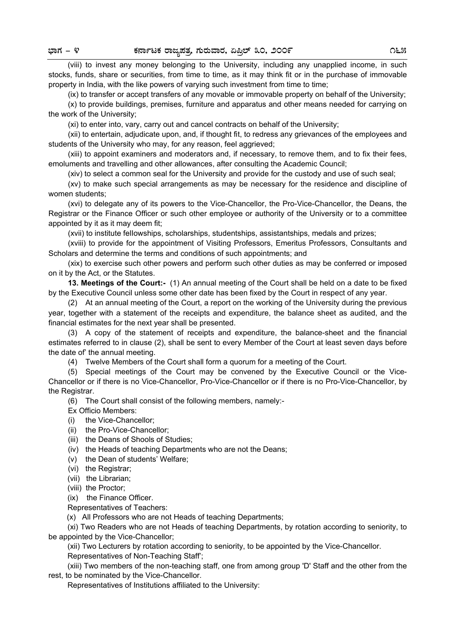(viii) to invest any money belonging to the University, including any unapplied income, in such stocks, funds, share or securities, from time to time, as it may think fit or in the purchase of immovable property in India, with the like powers of varying such investment from time to time;

(ix) to transfer or accept transfers of any movable or immovable property on behalf of the University;

(x) to provide buildings, premises, furniture and apparatus and other means needed for carrying on the work of the University;

(xi) to enter into, vary, carry out and cancel contracts on behalf of the University;

(xii) to entertain, adjudicate upon, and, if thought fit, to redress any grievances of the employees and students of the University who may, for any reason, feel aggrieved;

(xiii) to appoint examiners and moderators and, if necessary, to remove them, and to fix their fees, emoluments and travelling and other allowances, after consulting the Academic Council;

(xiv) to select a common seal for the University and provide for the custody and use of such seal;

(xv) to make such special arrangements as may be necessary for the residence and discipline of women students;

(xvi) to delegate any of its powers to the Vice-Chancellor, the Pro-Vice-Chancellor, the Deans, the Registrar or the Finance Officer or such other employee or authority of the University or to a committee appointed by it as it may deem fit;

(xvii) to institute felIowships, scholarships, studentships, assistantships, medals and prizes;

(xviii) to provide for the appointment of Visiting Professors, Emeritus Professors, Consultants and Scholars and determine the terms and conditions of such appointments; and

(xix) to exercise such other powers and perform such other duties as may be conferred or imposed on it by the Act, or the Statutes.

**13. Meetings of the Court:-** (1) An annual meeting of the Court shall be held on a date to be fixed by the Executive Council unless some other date has been fixed by the Court in respect of any year.

(2) At an annual meeting of the Court, a report on the working of the University during the previous year, together with a statement of the receipts and expenditure, the balance sheet as audited, and the financial estimates for the next year shall be presented.

(3) A copy of the statement of receipts and expenditure, the balance-sheet and the financial estimates referred to in clause (2), shall be sent to every Member of the Court at least seven days before the date of' the annual meeting.

(4) Twelve Members of the Court shall form a quorum for a meeting of the Court.

(5) Special meetings of the Court may be convened by the Executive Council or the Vice-Chancellor or if there is no Vice-Chancellor, Pro-Vice-Chancellor or if there is no Pro-Vice-Chancellor, by the Registrar.

(6) The Court shall consist of the following members, namely:-

Ex Officio Members:

- (i) the Vice-Chancellor;
- (ii) the Pro-Vice-Chancellor;
- (iii) the Deans of Shools of Studies;
- (iv) the Heads of teaching Departments who are not the Deans;
- (v) the Dean of students' Welfare;
- (vi) the Registrar;
- (vii) the Librarian;
- (viii) the Proctor;

(ix) the Finance Officer.

Representatives of Teachers:

(x) All Professors who are not Heads of teaching Departments;

(xi) Two Readers who are not Heads of teaching Departments, by rotation according to seniority, to be appointed by the Vice-Chancellor;

(xii) Two Lecturers by rotation according to seniority, to be appointed by the Vice-Chancellor. Representatives of Non-Teaching Staff';

(xiii) Two members of the non-teaching staff, one from among group 'D' Staff and the other from the rest, to be nominated by the Vice-Chancellor.

Representatives of Institutions affiliated to the University: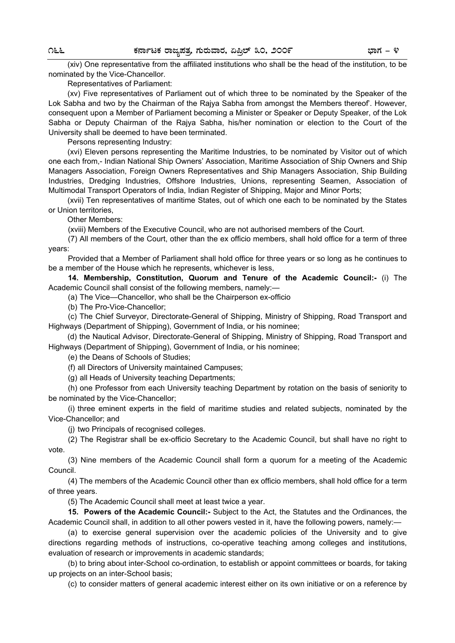(xiv) One representative from the affiliated institutions who shall be the head of the institution, to be nominated by the Vice-Chancellor.

Representatives of Parliament:

(xv) Five representatives of Parliament out of which three to be nominated by the Speaker of the Lok Sabha and two by the Chairman of the Rajya Sabha from amongst the Members thereof'. However, consequent upon a Member of Parliament becoming a Minister or Speaker or Deputy Speaker, of the Lok Sabha or Deputy Chairman of the Rajya Sabha, his/her nomination or election to the Court of the University shall be deemed to have been terminated.

Persons representing Industry:

(xvi) Eleven persons representing the Maritime Industries, to be nominated by Visitor out of which one each from,- Indian National Ship Owners' Association, Maritime Association of Ship Owners and Ship Managers Association, Foreign Owners Representatives and Ship Managers Association, Ship Building Industries, Dredging Industries, Offshore Industries, Unions, representing Seamen, Association of Multimodal Transport Operators of India, Indian Register of Shipping, Major and Minor Ports;

(xvii) Ten representatives of maritime States, out of which one each to be nominated by the States or Union territories,

Other Members:

(xviii) Members of the Executive Council, who are not authorised members of the Court.

(7) All members of the Court, other than the ex officio members, shall hold office for a term of three years:

Provided that a Member of Parliament shall hold office for three years or so long as he continues to be a member of the House which he represents, whichever is less,

**14. Membership, Constitution, Quorum and Tenure of the Academic Council:-** (i) The Academic Council shall consist of the following members, namely:—

(a) The Vice—Chancellor, who shall be the Chairperson ex-officio

(b) The Pro-Vice-Chancellor;

(c) The Chief Surveyor, Directorate-General of Shipping, Ministry of Shipping, Road Transport and Highways (Department of Shipping), Government of India, or his nominee;

(d) the Nautical Advisor, Directorate-General of Shipping, Ministry of Shipping, Road Transport and Highways (Department of Shipping), Government of India, or his nominee;

(e) the Deans of Schools of Studies;

(f) all Directors of University maintained Campuses;

(g) all Heads of University teaching Departments;

(h) one Professor from each University teaching Department by rotation on the basis of seniority to be nominated by the Vice-Chancellor;

(i) three eminent experts in the field of maritime studies and related subjects, nominated by the Vice-Chancellor; and

(j) two Principals of recognised colleges.

(2) The Registrar shall be ex-officio Secretary to the Academic Council, but shall have no right to vote.

(3) Nine members of the Academic Council shall form a quorum for a meeting of the Academic Council.

(4) The members of the Academic Council other than ex officio members, shall hold office for a term of three years.

(5) The Academic Council shall meet at least twice a year.

**15. Powers of the Academic Council:-** Subject to the Act, the Statutes and the Ordinances, the Academic Council shall, in addition to all other powers vested in it, have the following powers, namely:—

(a) to exercise general supervision over the academic policies of the University and to give directions regarding methods of instructions, co-operative teaching among colleges and institutions, evaluation of research or improvements in academic standards;

(b) to bring about inter-School co-ordination, to establish or appoint committees or boards, for taking up projects on an inter-School basis;

(c) to consider matters of general academic interest either on its own initiative or on a reference by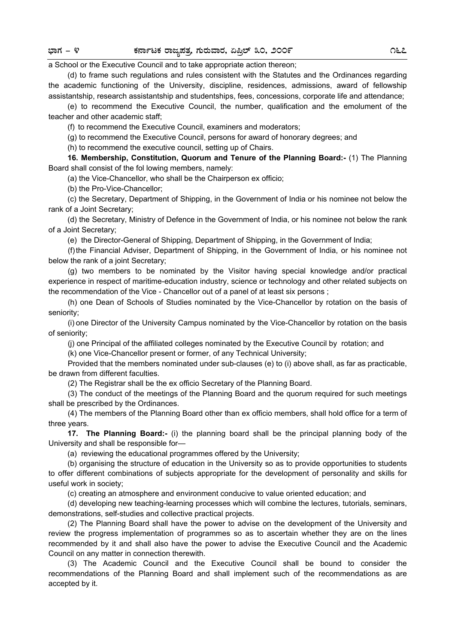#### a School or the Executive Council and to take appropriate action thereon;

(d) to frame such regulations and rules consistent with the Statutes and the Ordinances regarding the academic functioning of the University, discipline, residences, admissions, award of fellowship assistantship, research assistantship and studentships, fees, concessions, corporate life and attendance;

(e) to recommend the Executive Council, the number, qualification and the emolument of the teacher and other academic staff;

(f) to recommend the Executive Council, examiners and moderators;

(g) to recommend the Executive Council, persons for award of honorary degrees; and

(h) to recommend the executive council, setting up of Chairs.

**16. Membership, Constitution, Quorum and Tenure of the Planning Board:-** (1) The Planning Board shall consist of the fol lowing members, namely:

(a) the Vice-Chancellor, who shall be the Chairperson ex officio;

(b) the Pro-Vice-Chancellor;

(c) the Secretary, Department of Shipping, in the Government of India or his nominee not below the rank of a Joint Secretary;

(d) the Secretary, Ministry of Defence in the Government of India, or his nominee not below the rank of a Joint Secretary;

(e) the Director-General of Shipping, Department of Shipping, in the Government of India;

(f) the Financial Adviser, Department of Shipping, in the Government of India, or his nominee not below the rank of a joint Secretary;

(g) two members to be nominated by the Visitor having special knowledge and/or practical experience in respect of maritime-education industry, science or technology and other related subjects on the recommendation of the Vice - Chancellor out of a panel of at least six persons ;

(h) one Dean of Schools of Studies nominated by the Vice-Chancellor by rotation on the basis of seniority;

(i) one Director of the University Campus nominated by the Vice-Chancellor by rotation on the basis of seniority;

(j) one Principal of the affiliated colleges nominated by the Executive Council by rotation; and

(k) one Vice-Chancellor present or former, of any Technical University;

Provided that the members nominated under sub-clauses (e) to (i) above shall, as far as practicable, be drawn from different faculties.

(2) The Registrar shall be the ex officio Secretary of the Planning Board.

(3) The conduct of the meetings of the Planning Board and the quorum required for such meetings shall be prescribed by the Ordinances.

(4) The members of the Planning Board other than ex officio members, shall hold office for a term of three years.

**17. The Planning Board:-** (i) the planning board shall be the principal planning body of the University and shall be responsible for—

(a) reviewing the educational programmes offered by the University;

(b) organising the structure of education in the University so as to provide opportunities to students to offer different combinations of subjects appropriate for the development of personality and skills for useful work in society;

(c) creating an atmosphere and environment conducive to value oriented education; and

(d) developing new teaching-learning processes which will combine the lectures, tutorials, seminars, demonstrations, self-studies and collective practical projects.

(2) The Planning Board shall have the power to advise on the development of the University and review the progress implementation of programmes so as to ascertain whether they are on the lines recommended by it and shall also have the power to advise the Executive Council and the Academic Council on any matter in connection therewith.

(3) The Academic Council and the Executive Council shall be bound to consider the recommendations of the Planning Board and shall implement such of the recommendations as are accepted by it.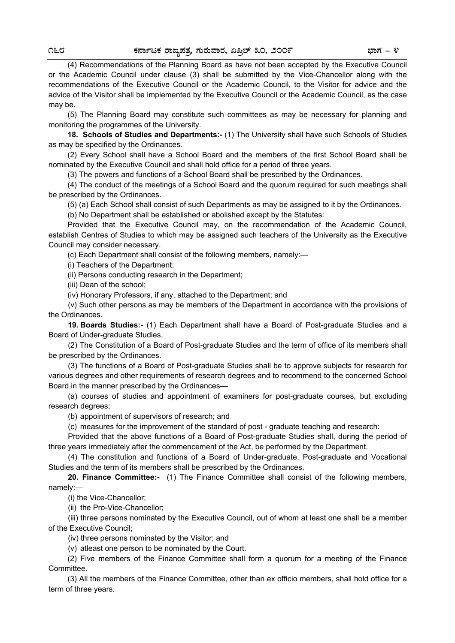(4) Recommendations of the Planning Board as have not been accepted by the Executive Council or the Academic Council under clause (3) shall be submitted by the Vice-Chancellor along with the recommendations of the Executive Council or the Academic Council, to the Visitor for advice and the advice of the Visitor shall be implemented by the Executive Council or the Academic Council, as the case may be.

(5) The Planning Board may constitute such committees as may be necessary for planning and monitoring the programmes of the University.

**18. Schools of Studies and Departments:-** (1) The University shall have such Schools of Studies as may be specified by the Ordinances.

(2) Every School shall have a School Board and the members of the first School Board shall be nominated by the Executive Council and shall hold office for a period of three years.

(3) The powers and functions of a School Board shall be prescribed by the Ordinances.

(4) The conduct of the meetings of a School Board and the quorum required for such meetings shall be prescribed by the Ordinances.

(5) (a) Each School shall consist of such Departments as may be assigned to it by the Ordinances.

(b) No Department shall be established or abolished except by the Statutes:

Provided that the Executive Council may, on the recommendation of the Academic Council, establish Centres of Studies to which may be assigned such teachers of the University as the Executive Council may consider necessary.

(c) Each Department shall consist of the following members, namely:—

(i) Teachers of the Department;

(ii) Persons conducting research in the Department;

(iii) Dean of the school;

(iv) Honorary Professors, if any, attached to the Department; and

(v) Such other persons as may be members of the Department in accordance with the provisions of the Ordinances.

**19. Boards Studies:-** (1) Each Department shall have a Board of Post-graduate Studies and a Board of Under-graduate Studies.

(2) The Constitution of a Board of Post-graduate Studies and the term of office of its members shall be prescribed by the Ordinances.

(3) The functions of a Board of Post-graduate Studies shall be to approve subjects for research for various degrees and other requirements of research degrees and to recommend to the concerned School Board in the manner prescribed by the Ordinances—

(a) courses of studies and appointment of examiners for post-graduate courses, but excluding research degrees;

(b) appointment of supervisors of research; and

(c) measures for the improvement of the standard of post - graduate teaching and research:

Provided that the above functions of a Board of Post-graduate Studies shall, during the period of three years immediately after the commencement of the Act, be performed by the Department.

(4) The constitution and functions of a Board of Under-graduate, Post-graduate and Vocational Studies and the term of its members shall be prescribed by the Ordinances.

**20. Finance Committee:-** (1) The Finance Committee shall consist of the following members, namely:—

(i) the Vice-Chancellor;

(ii) the Pro-Vice-Chancellor;

(iii) three persons nominated by the Executive Council, out of whom at least one shall be a member of the Executive Council;

(iv) three persons nominated by the Visitor; and

(v) atleast one person to be nominated by the Court.

(2) Five members of the Finance Committee shall form a quorum for a meeting of the Finance Committee.

(3) All the members of the Finance Committee, other than ex officio members, shall hold office for a term of three years.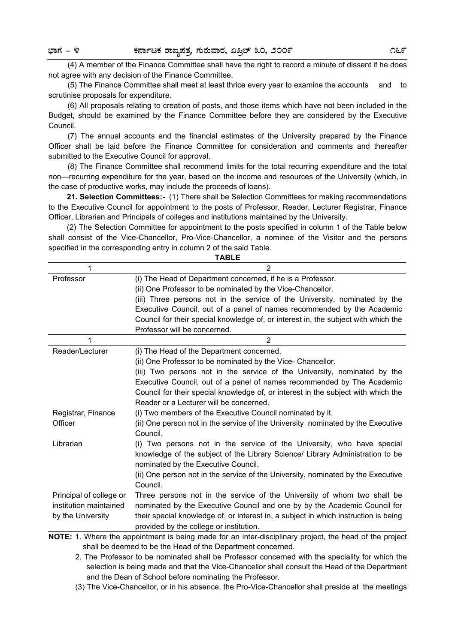(4) A member of the Finance Committee shall have the right to record a minute of dissent if he does not agree with any decision of the Finance Committee.

(5) The Finance Committee shall meet at least thrice every year to examine the accounts and to scrutinise proposals for expenditure.

(6) All proposals relating to creation of posts, and those items which have not been included in the Budget, should be examined by the Finance Committee before they are considered by the Executive Council.

(7) The annual accounts and the financial estimates of the University prepared by the Finance Officer shall be laid before the Finance Committee for consideration and comments and thereafter submitted to the Executive Council for approval.

(8) The Finance Committee shall recommend limits for the total recurring expenditure and the total non—recurring expenditure for the year, based on the income and resources of the University (which, in the case of productive works, may include the proceeds of loans).

**21. Selection Committees:-** (1) There shall be Selection Committees for making recommendations to the Executive Council for appointment to the posts of Professor, Reader, Lecturer Registrar, Finance Officer, Librarian and Principals of colleges and institutions maintained by the University.

(2) The Selection Committee for appointment to the posts specified in column 1 of the Table below shall consist of the Vice-Chancellor, Pro-Vice-Chancellor, a nominee of the Visitor and the persons specified in the corresponding entry in column 2 of the said Table.

| <b>TABLE</b>            |                                                                                                         |  |
|-------------------------|---------------------------------------------------------------------------------------------------------|--|
| 1                       | $\overline{2}$                                                                                          |  |
| Professor               | (i) The Head of Department concerned, if he is a Professor.                                             |  |
|                         | (ii) One Professor to be nominated by the Vice-Chancellor.                                              |  |
|                         | (iii) Three persons not in the service of the University, nominated by the                              |  |
|                         | Executive Council, out of a panel of names recommended by the Academic                                  |  |
|                         | Council for their special knowledge of, or interest in, the subject with which the                      |  |
|                         | Professor will be concerned.                                                                            |  |
| 1                       | $\overline{2}$                                                                                          |  |
| Reader/Lecturer         | (i) The Head of the Department concerned.                                                               |  |
|                         | (ii) One Professor to be nominated by the Vice- Chancellor.                                             |  |
|                         | (iii) Two persons not in the service of the University, nominated by the                                |  |
|                         | Executive Council, out of a panel of names recommended by The Academic                                  |  |
|                         | Council for their special knowledge of, or interest in the subject with which the                       |  |
|                         | Reader or a Lecturer will be concerned.                                                                 |  |
| Registrar, Finance      | (i) Two members of the Executive Council nominated by it.                                               |  |
| Officer                 | (ii) One person not in the service of the University nominated by the Executive                         |  |
|                         | Council.                                                                                                |  |
| Librarian               | (i) Two persons not in the service of the University, who have special                                  |  |
|                         | knowledge of the subject of the Library Science/ Library Administration to be                           |  |
|                         | nominated by the Executive Council.                                                                     |  |
|                         | (ii) One person not in the service of the University, nominated by the Executive                        |  |
|                         | Council.                                                                                                |  |
| Principal of college or | Three persons not in the service of the University of whom two shall be                                 |  |
| institution maintained  | nominated by the Executive Council and one by by the Academic Council for                               |  |
| by the University       | their special knowledge of, or interest in, a subject in which instruction is being                     |  |
|                         | provided by the college or institution.                                                                 |  |
|                         | NOTE: 1. Where the appointment is being made for an inter-disciplinary project, the head of the project |  |

shall be deemed to be the Head of the Department concerned.

 2. The Professor to be nominated shall be Professor concerned with the speciality for which the selection is being made and that the Vice-Chancellor shall consult the Head of the Department and the Dean of School before nominating the Professor.

(3) The Vice-Chancellor, or in his absence, the Pro-Vice-Chancellor shall preside at the meetings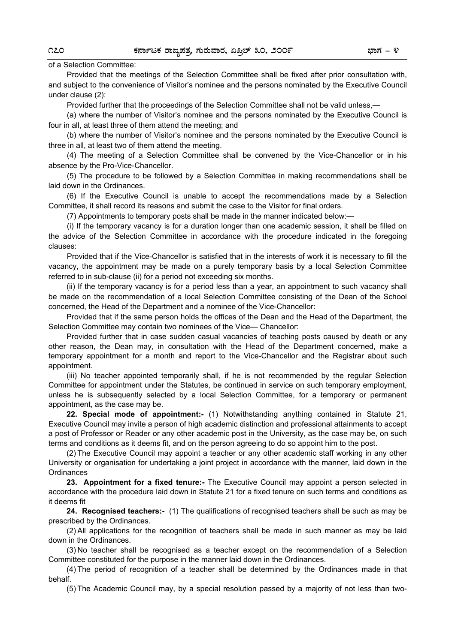of a Selection Committee:

 Provided that the meetings of the Selection Committee shall be fixed after prior consultation with, and subject to the convenience of Visitor's nominee and the persons nominated by the Executive Council under clause (2):

Provided further that the proceedings of the Selection Committee shall not be valid unless,—

(a) where the number of Visitor's nominee and the persons nominated by the Executive Council is four in all, at least three of them attend the meeting; and

(b) where the number of Visitor's nominee and the persons nominated by the Executive Council is three in all, at least two of them attend the meeting.

(4) The meeting of a Selection Committee shall be convened by the Vice-Chancellor or in his absence by the Pro-Vice-Chancellor.

(5) The procedure to be followed by a Selection Committee in making recommendations shall be laid down in the Ordinances.

(6) If the Executive Council is unable to accept the recommendations made by a Selection Committee, it shall record its reasons and submit the case to the Visitor for final orders.

(7) Appointments to temporary posts shall be made in the manner indicated below:—

(i) If the temporary vacancy is for a duration longer than one academic session, it shall be filled on the advice of the Selection Committee in accordance with the procedure indicated in the foregoing clauses:

Provided that if the Vice-Chancellor is satisfied that in the interests of work it is necessary to fill the vacancy, the appointment may be made on a purely temporary basis by a local Selection Committee referred to in sub-clause (ii) for a period not exceeding six months.

(ii) If the temporary vacancy is for a period less than a year, an appointment to such vacancy shall be made on the recommendation of a local Selection Committee consisting of the Dean of the School concerned, the Head of the Department and a nominee of the Vice-Chancellor:

Provided that if the same person holds the offices of the Dean and the Head of the Department, the Selection Committee may contain two nominees of the Vice— Chancellor:

Provided further that in case sudden casual vacancies of teaching posts caused by death or any other reason, the Dean may, in consultation with the Head of the Department concerned, make a temporary appointment for a month and report to the Vice-Chancellor and the Registrar about such appointment.

(iii) No teacher appointed temporarily shall, if he is not recommended by the regular Selection Committee for appointment under the Statutes, be continued in service on such temporary employment, unless he is subsequently selected by a local Selection Committee, for a temporary or permanent appointment, as the case may be.

**22. Special mode of appointment:-** (1) Notwithstanding anything contained in Statute 21, Executive Council may invite a person of high academic distinction and professional attainments to accept a post of Professor or Reader or any other academic post in the University, as the case may be, on such terms and conditions as it deems fit, and on the person agreeing to do so appoint him to the post.

(2) The Executive Council may appoint a teacher or any other academic staff working in any other University or organisation for undertaking a joint project in accordance with the manner, laid down in the **Ordinances** 

**23. Appointment for a fixed tenure:-** The Executive Council may appoint a person selected in accordance with the procedure laid down in Statute 21 for a fixed tenure on such terms and conditions as it deems fit

**24. Recognised teachers:-** (1) The qualifications of recognised teachers shall be such as may be prescribed by the Ordinances.

(2) All applications for the recognition of teachers shall be made in such manner as may be laid down in the Ordinances.

(3) No teacher shall be recognised as a teacher except on the recommendation of a Selection Committee constituted for the purpose in the manner laid down in the Ordinances.

(4) The period of recognition of a teacher shall be determined by the Ordinances made in that behalf.

(5) The Academic Council may, by a special resolution passed by a majority of not less than two-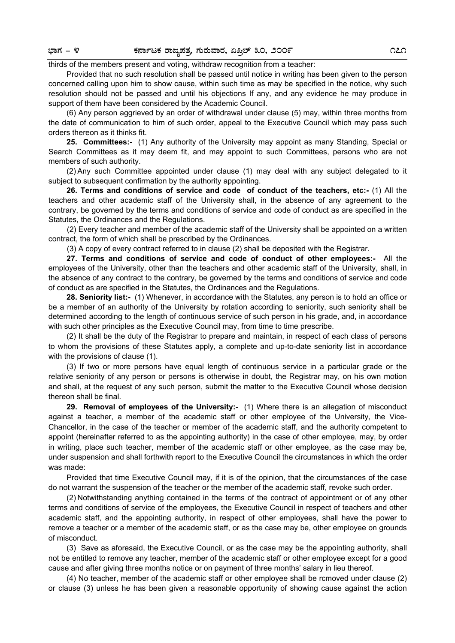#### thirds of the members present and voting, withdraw recognition from a teacher:

Provided that no such resolution shall be passed until notice in writing has been given to the person concerned calling upon him to show cause, within such time as may be specified in the notice, why such resolution should not be passed and until his objections If any, and any evidence he may produce in support of them have been considered by the Academic Council.

(6) Any person aggrieved by an order of withdrawal under clause (5) may, within three months from the date of communication to him of such order, appeal to the Executive Council which may pass such orders thereon as it thinks fit.

**25. Committees:-** (1) Any authority of the University may appoint as many Standing, Special or Search Committees as it may deem fit, and may appoint to such Committees, persons who are not members of such authority.

(2) Any such Committee appointed under clause (1) may deal with any subject delegated to it subject to subsequent confirmation by the authority appointing.

**26. Terms and conditions of service and code of conduct of the teachers, etc:-** (1) All the teachers and other academic staff of the University shall, in the absence of any agreement to the contrary, be governed by the terms and conditions of service and code of conduct as are specified in the Statutes, the Ordinances and the Regulations.

(2) Every teacher and member of the academic staff of the University shall be appointed on a written contract, the form of which shall be prescribed by the Ordinances.

(3) A copy of every contract referred to in clause (2) shall be deposited with the Registrar.

**27. Terms and conditions of service and code of conduct of other employees:-** All the employees of the University, other than the teachers and other academic staff of the University, shall, in the absence of any contract to the contrary, be governed by the terms and conditions of service and code of conduct as are specified in the Statutes, the Ordinances and the Regulations.

**28. Seniority list:-** (1) Whenever, in accordance with the Statutes, any person is to hold an office or be a member of an authority of the University by rotation according to seniority, such seniority shall be determined according to the length of continuous service of such person in his grade, and, in accordance with such other principles as the Executive Council may, from time to time prescribe.

(2) It shall be the duty of the Registrar to prepare and maintain, in respect of each class of persons to whom the provisions of these Statutes apply, a complete and up-to-date seniority list in accordance with the provisions of clause (1).

(3) If two or more persons have equal length of continuous service in a particular grade or the relative seniority of any person or persons is otherwise in doubt, the Registrar may, on his own motion and shall, at the request of any such person, submit the matter to the Executive Council whose decision thereon shall be final.

**29. Removal of employees of the University:-** (1) Where there is an allegation of misconduct against a teacher, a member of the academic staff or other employee of the University, the Vice-Chancellor, in the case of the teacher or member of the academic staff, and the authority competent to appoint (hereinafter referred to as the appointing authority) in the case of other employee, may, by order in writing, place such teacher, member of the academic staff or other employee, as the case may be, under suspension and shall forthwith report to the Executive Council the circumstances in which the order was made:

Provided that time Executive Council may, if it is of the opinion, that the circumstances of the case do not warrant the suspension of the teacher or the member of the academic staff, revoke such order.

(2) Notwithstanding anything contained in the terms of the contract of appointment or of any other terms and conditions of service of the employees, the Executive Council in respect of teachers and other academic staff, and the appointing authority, in respect of other employees, shall have the power to remove a teacher or a member of the academic staff, or as the case may be, other employee on grounds of misconduct.

(3) Save as aforesaid, the Executive Council, or as the case may be the appointing authority, shall not be entitled to remove any teacher, member of the academic staff or other employee except for a good cause and after giving three months notice or on payment of three months' salary in lieu thereof.

(4) No teacher, member of the academic staff or other employee shall be rcmoved under clause (2) or clause (3) unless he has been given a reasonable opportunity of showing cause against the action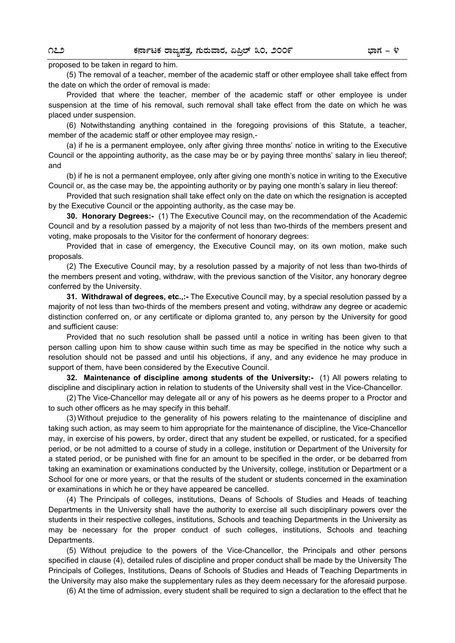proposed to be taken in regard to him.

(5) The removal of a teacher, member of the academic staff or other employee shall take effect from the date on which the order of removal is made:

Provided that where the teacher, member of the academic staff or other employee is under suspension at the time of his removal, such removal shall take effect from the date on which he was placed under suspension.

(6) Notwithstanding anything contained in the foregoing provisions of this Statute, a teacher, member of the academic staff or other employee may resign,-

(a) if he is a permanent employee, only after giving three months' notice in writing to the Executive Council or the appointing authority, as the case may be or by paying three months' salary in lieu thereof; and

(b) if he is not a permanent employee, only after giving one month's notice in writing to the Executive Council or, as the case may be, the appointing authority or by paying one month's salary in lieu thereof:

Provided that such resignation shall take effect only on the date on which the resignation is accepted by the Executive Council or the appointing authority, as the case may be.

**30. Honorary Degrees:-** (1) The Executive Council may, on the recommendation of the Academic Council and by a resolution passed by a majority of not less than two-thirds of the members present and voting, make proposals to the Visitor for the conferment of honorary degrees:

Provided that in case of emergency, the Executive Council may, on its own motion, make such proposals.

(2) The Executive Council may, by a resolution passed by a majority of not less than two-thirds of the members present and voting, withdraw, with the previous sanction of the Visitor, any honorary degree conferred by the University.

**31. Withdrawal of degrees, etc.,:-** The Executive Council may, by a special resolution passed by a majority of not less than two-thirds of the members present and voting, withdraw any degree or academic distinction conferred on, or any certificate or diploma granted to, any person by the University for good and sufficient cause:

Provided that no such resolution shall be passed until a notice in writing has been given to that person calling upon him to show cause within such time as may be specified in the notice why such a resolution should not be passed and until his objections, if any, and any evidence he may produce in support of them, have been considered by the Executive Council.

**32. Maintenance of discipline among students of the University:-** (1) All powers relating to discipline and disciplinary action in relation to students of the University shall vest in the Vice-Chancellor.

(2) The Vice-Chancellor may delegate all or any of his powers as he deems proper to a Proctor and to such other officers as he may specify in this behalf.

(3) Without prejudice to the generality of his powers relating to the maintenance of discipline and taking such action, as may seem to him appropriate for the maintenance of discipline, the Vice-Chancellor may, in exercise of his powers, by order, direct that any student be expelled, or rusticated, for a specified period, or be not admitted to a course of study in a college, institution or Department of the University for a stated period, or be punished with fine for an amount to be specified in the order, or be debarred from taking an examination or examinations conducted by the University, college, institution or Department or a School for one or more years, or that the results of the student or students concerned in the examination or examinations in which he or they have appeared be cancelled.

(4) The Principals of colleges, institutions, Deans of Schools of Studies and Heads of teaching Departments in the University shall have the authority to exercise all such disciplinary powers over the students in their respective colleges, institutions, Schools and teaching Departments in the University as may be necessary for the proper conduct of such colleges, institutions, Schools and teaching Departments.

(5) Without prejudice to the powers of the Vice-Chancellor, the Principals and other persons specified in clause (4), detailed rules of discipline and proper conduct shall be made by the University The Principals of Colleges, Institutions, Deans of Schools of Studies and Heads of Teaching Departments in the University may also make the supplementary rules as they deem necessary for the aforesaid purpose.

(6) At the time of admission, every student shall be required to sign a declaration to the effect that he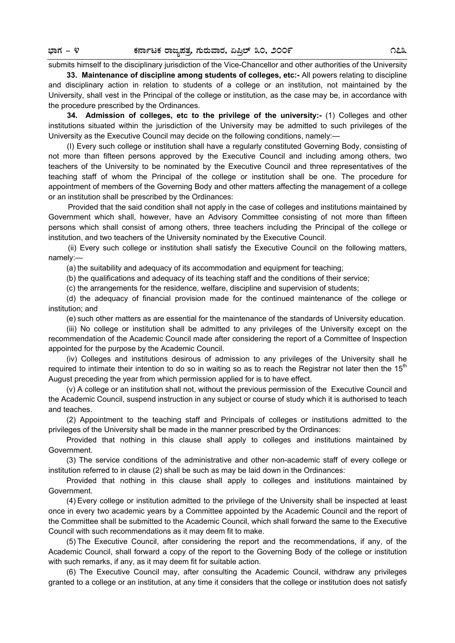## submits himself to the disciplinary jurisdiction of the Vice-Chancellor and other authorities of the University

**33. Maintenance of discipline among students of colleges, etc:-** All powers relating to discipline and disciplinary action in relation to students of a college or an institution, not maintained by the University, shall vest in the Principal of the college or institution, as the case may be, in accordance with the procedure prescribed by the Ordinances.

**34. Admission of colleges, etc to the privilege of the university:-** (1) Colleges and other institutions situated within the jurisdiction of the University may be admitted to such privileges of the University as the Executive Council may decide on the following conditions, namely:—

(I) Every such college or institution shall have a regularly constituted Governing Body, consisting of not more than fifteen persons approved by the Executive Council and including among others, two teachers of the University to be nominated by the Executive Council and three representatives of the teaching staff of whom the Principal of the college or institution shall be one. The procedure for appointment of members of the Governing Body and other matters affecting the management of a college or an institution shall be prescribed by the Ordinances:

Provided that the said condition shall not apply in the case of colleges and institutions maintained by Government which shall, however, have an Advisory Committee consisting of not more than fifteen persons which shall consist of among others, three teachers including the Principal of the college or institution, and two teachers of the University nominated by the Executive Council.

(ii) Every such college or institution shall satisfy the Executive Council on the following matters, namely:—

(a) the suitability and adequacy of its accommodation and equipment for teaching;

(b) the qualifications and adequacy of its teaching staff and the conditions of their service;

(c) the arrangements for the residence, welfare, discipline and supervision of students;

(d) the adequacy of financial provision made for the continued maintenance of the college or institution; and

(e) such other matters as are essential for the maintenance of the standards of University education.

(iii) No college or institution shall be admitted to any privileges of the University except on the recommendation of the Academic Council made after considering the report of a Committee of Inspection appointed for the purpose by the Academic Council.

(iv) Colleges and institutions desirous of admission to any privileges of the University shall he required to intimate their intention to do so in waiting so as to reach the Registrar not later then the 15<sup>th</sup> August preceding the year from which permission applied for is to have effect.

(v) A college or an institution shall not, without the previous permission of the Executive Council and the Academic Council, suspend instruction in any subject or course of study which it is authorised to teach and teaches.

(2) Appointment to the teaching staff and Principals of colleges or institutions admitted to the privileges of the University shall be made in the manner prescribed by the Ordinances:

Provided that nothing in this clause shall apply to colleges and institutions maintained by Government.

(3) The service conditions of the administrative and other non-academic staff of every college or institution referred to in clause (2) shall be such as may be laid down in the Ordinances:

Provided that nothing in this clause shall apply to colleges and institutions maintained by Government.

(4) Every college or institution admitted to the privilege of the University shall be inspected at least once in every two academic years by a Committee appointed by the Academic Council and the report of the Committee shall be submitted to the Academic Council, which shall forward the same to the Executive Council with such recommendations as it may deem fit to make.

(5) The Executive Council, after considering the report and the recommendations, if any, of the Academic Council, shall forward a copy of the report to the Governing Body of the college or institution with such remarks, if any, as it may deem fit for suitable action.

(6) The Executive Council may, after consulting the Academic Council, withdraw any privileges granted to a college or an institution, at any time it considers that the college or institution does not satisfy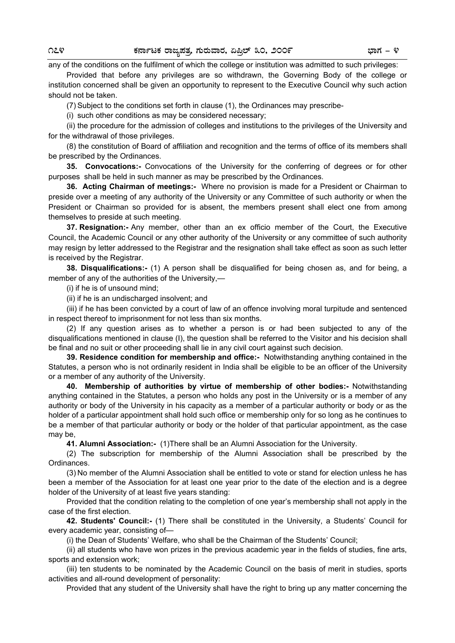any of the conditions on the fulfilment of which the college or institution was admitted to such privileges:

Provided that before any privileges are so withdrawn, the Governing Body of the college or institution concerned shall be given an opportunity to represent to the Executive Council why such action should not be taken.

(7) Subject to the conditions set forth in clause (1), the Ordinances may prescribe-

(i) such other conditions as may be considered necessary;

(ii) the procedure for the admission of colleges and institutions to the privileges of the University and for the withdrawal of those privileges.

(8) the constitution of Board of affiliation and recognition and the terms of office of its members shall be prescribed by the Ordinances.

**35. Convocations:-** Convocations of the University for the conferring of degrees or for other purposes shall be held in such manner as may be prescribed by the Ordinances.

**36. Acting Chairman of meetings:-** Where no provision is made for a President or Chairman to preside over a meeting of any authority of the University or any Committee of such authority or when the President or Chairman so provided for is absent, the members present shall elect one from among themselves to preside at such meeting.

**37. Resignation:-** Any member, other than an ex officio member of the Court, the Executive Council, the Academic Council or any other authority of the University or any committee of such authority may resign by letter addressed to the Registrar and the resignation shall take effect as soon as such letter is received by the Registrar.

**38. Disqualifications:-** (1) A person shall be disqualified for being chosen as, and for being, a member of any of the authorities of the University,—

(i) if he is of unsound mind;

(ii) if he is an undischarged insolvent; and

(iii) if he has been convicted by a court of law of an offence involving moral turpitude and sentenced in respect thereof to imprisonment for not less than six months.

(2) If any question arises as to whether a person is or had been subjected to any of the disqualifications mentioned in clause (I), the question shall be referred to the Visitor and his decision shall be final and no suit or other proceeding shall lie in any civil court against such decision.

**39. Residence condition for membership and office:-** Notwithstanding anything contained in the Statutes, a person who is not ordinarily resident in India shall be eligible to be an officer of the University or a member of any authority of the University.

**40. Membership of authorities by virtue of membership of other bodies:-** Notwithstanding anything contained in the Statutes, a person who holds any post in the University or is a member of any authority or body of the University in his capacity as a member of a particular authority or body or as the holder of a particular appointment shall hold such office or membership only for so long as he continues to be a member of that particular authority or body or the holder of that particular appointment, as the case may be,

**41. Alumni Association:-** (1)There shall be an Alumni Association for the University.

(2) The subscription for membership of the Alumni Association shall be prescribed by the Ordinances.

(3) No member of the Alumni Association shall be entitled to vote or stand for election unless he has been a member of the Association for at least one year prior to the date of the election and is a degree holder of the University of at least five years standing:

Provided that the condition relating to the completion of one year's membership shall not apply in the case of the first election.

**42. Students' Council:-** (1) There shall be constituted in the University, a Students' Council for every academic year, consisting of—

(i) the Dean of Students' Welfare, who shall be the Chairman of the Students' Council;

(ii) all students who have won prizes in the previous academic year in the fields of studies, fine arts, sports and extension work;

(iii) ten students to be nominated by the Academic Council on the basis of merit in studies, sports activities and all-round development of personality:

Provided that any student of the University shall have the right to bring up any matter concerning the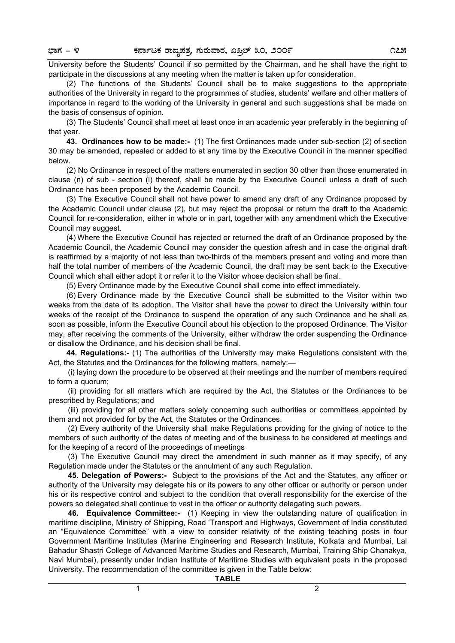University before the Students' Council if so permitted by the Chairman, and he shall have the right to participate in the discussions at any meeting when the matter is taken up for consideration.

(2) The functions of the Students' Council shall be to make suggestions to the appropriate authorities of the University in regard to the programmes of studies, students' welfare and other matters of importance in regard to the working of the University in general and such suggestions shall be made on the basis of consensus of opinion.

(3) The Students' Council shall meet at least once in an academic year preferably in the beginning of that year.

**43. Ordinances how to be made:-** (1) The first Ordinances made under sub-section (2) of section 30 may be amended, repealed or added to at any time by the Executive Council in the manner specified below.

(2) No Ordinance in respect of the matters enumerated in section 30 other than those enumerated in clause (n) of sub - section (l) thereof, shall be made by the Executive Council unless a draft of such Ordinance has been proposed by the Academic Council.

(3) The Executive Council shall not have power to amend any draft of any Ordinance proposed by the Academic Council under clause (2), but may reject the proposal or return the draft to the Academic Council for re-consideration, either in whole or in part, together with any amendment which the Executive Council may suggest.

(4) Where the Executive Council has rejected or returned the draft of an Ordinance proposed by the Academic Council, the Academic Council may consider the question afresh and in case the original draft is reaffirmed by a majority of not less than two-thirds of the members present and voting and more than half the total number of members of the Academic Council, the draft may be sent back to the Executive Council which shall either adopt it or refer it to the Visitor whose decision shall be final.

(5) Every Ordinance made by the Executive Council shall come into effect immediately.

(6) Every Ordinance made by the Executive Council shall be submitted to the Visitor within two weeks from the date of its adoption. The Visitor shall have the power to direct the University within four weeks of the receipt of the Ordinance to suspend the operation of any such Ordinance and he shall as soon as possible, inform the Executive Council about his objection to the proposed Ordinance. The Visitor may, after receiving the comments of the University, either withdraw the order suspending the Ordinance or disallow the Ordinance, and his decision shall be final.

**44. Regulations:-** (1) The authorities of the University may make Regulations consistent with the Act, the Statutes and the Ordinances for the following matters, namely:—

(i) laying down the procedure to be observed at their meetings and the number of members required to form a quorum;

(ii) providing for all matters which are required by the Act, the Statutes or the Ordinances to be prescribed by Regulations; and

(iii) providing for all other matters solely concerning such authorities or committees appointed by them and not provided for by the Act, the Statutes or the Ordinances.

(2) Every authority of the University shall make Regulations providing for the giving of notice to the members of such authority of the dates of meeting and of the business to be considered at meetings and for the keeping of a record of the proceedings of meetings

(3) The Executive Council may direct the amendment in such manner as it may specify, of any Regulation made under the Statutes or the annulment of any such Regulation.

**45. Delegation of Powers:-** Subject to the provisions of the Act and the Statutes, any officer or authority of the University may delegate his or its powers to any other officer or authority or person under his or its respective control and subject to the condition that overall responsibility for the exercise of the powers so delegated shall continue to vest in the officer or authority delegating such powers.

**46. Equivalence Committee:-** (1) Keeping in view the outstanding nature of qualification in maritime discipline, Ministry of Shipping, Road 'Transport and Highways, Government of India constituted an "Equivalence Committee" with a view to consider relativity of the existing teaching posts in four Government Maritime Institutes (Marine Engineering and Research Institute, Kolkata and Mumbai, Lal Bahadur Shastri College of Advanced Maritime Studies and Research, Mumbai, Training Ship Chanakya, Navi Mumbai), presently under Indian Institute of Maritime Studies with equivalent posts in the proposed University. The recommendation of the committee is given in the Table below:

**TABLE**